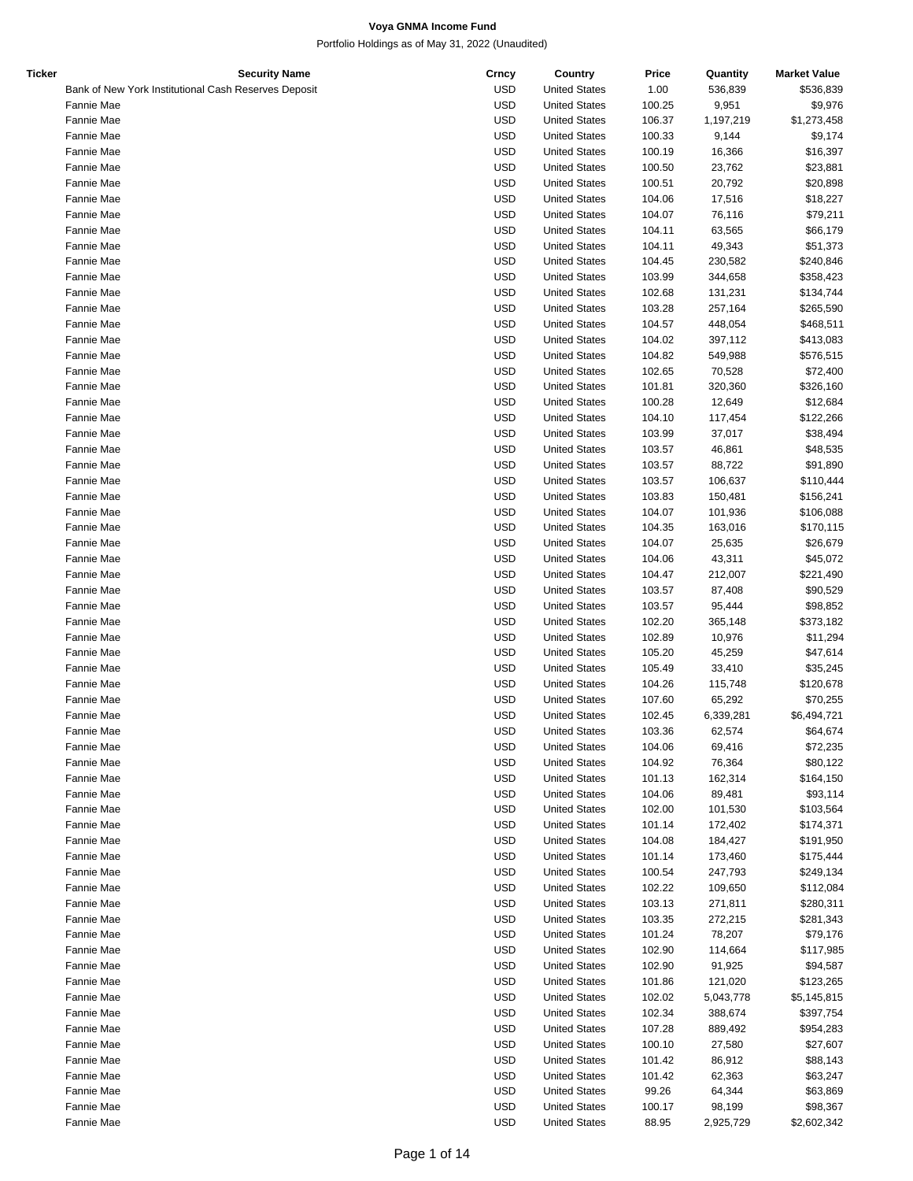Portfolio Holdings as of May 31, 2022 (Unaudited)

| Ticker | <b>Security Name</b>                                 | Crncy      | Country              | Price  | Quantity  | <b>Market Value</b> |
|--------|------------------------------------------------------|------------|----------------------|--------|-----------|---------------------|
|        | Bank of New York Institutional Cash Reserves Deposit | <b>USD</b> | <b>United States</b> | 1.00   | 536,839   | \$536,839           |
|        | Fannie Mae                                           | <b>USD</b> | <b>United States</b> | 100.25 | 9,951     | \$9,976             |
|        | Fannie Mae                                           | <b>USD</b> | <b>United States</b> | 106.37 | 1,197,219 | \$1,273,458         |
|        | Fannie Mae                                           | <b>USD</b> | <b>United States</b> | 100.33 | 9,144     | \$9,174             |
|        | Fannie Mae                                           | <b>USD</b> | <b>United States</b> | 100.19 | 16,366    | \$16,397            |
|        | Fannie Mae                                           | <b>USD</b> | <b>United States</b> | 100.50 | 23,762    | \$23,881            |
|        |                                                      | <b>USD</b> |                      |        |           |                     |
|        | Fannie Mae                                           |            | <b>United States</b> | 100.51 | 20,792    | \$20,898            |
|        | Fannie Mae                                           | <b>USD</b> | <b>United States</b> | 104.06 | 17,516    | \$18,227            |
|        | Fannie Mae                                           | <b>USD</b> | <b>United States</b> | 104.07 | 76,116    | \$79,211            |
|        | Fannie Mae                                           | <b>USD</b> | <b>United States</b> | 104.11 | 63,565    | \$66,179            |
|        | Fannie Mae                                           | <b>USD</b> | <b>United States</b> | 104.11 | 49,343    | \$51,373            |
|        | Fannie Mae                                           | <b>USD</b> | <b>United States</b> | 104.45 | 230,582   | \$240,846           |
|        | Fannie Mae                                           | <b>USD</b> | <b>United States</b> | 103.99 | 344,658   | \$358,423           |
|        | Fannie Mae                                           | <b>USD</b> | <b>United States</b> | 102.68 | 131,231   | \$134,744           |
|        | Fannie Mae                                           | <b>USD</b> | <b>United States</b> | 103.28 | 257,164   | \$265,590           |
|        | Fannie Mae                                           | <b>USD</b> | <b>United States</b> | 104.57 | 448,054   | \$468,511           |
|        | Fannie Mae                                           | <b>USD</b> | <b>United States</b> | 104.02 | 397,112   | \$413,083           |
|        |                                                      |            |                      |        |           |                     |
|        | Fannie Mae                                           | <b>USD</b> | <b>United States</b> | 104.82 | 549,988   | \$576,515           |
|        | Fannie Mae                                           | <b>USD</b> | <b>United States</b> | 102.65 | 70,528    | \$72,400            |
|        | Fannie Mae                                           | <b>USD</b> | <b>United States</b> | 101.81 | 320,360   | \$326,160           |
|        | Fannie Mae                                           | <b>USD</b> | <b>United States</b> | 100.28 | 12,649    | \$12,684            |
|        | Fannie Mae                                           | <b>USD</b> | <b>United States</b> | 104.10 | 117,454   | \$122,266           |
|        | Fannie Mae                                           | <b>USD</b> | <b>United States</b> | 103.99 | 37,017    | \$38,494            |
|        | Fannie Mae                                           | <b>USD</b> | <b>United States</b> | 103.57 | 46,861    | \$48,535            |
|        | Fannie Mae                                           | <b>USD</b> | <b>United States</b> | 103.57 | 88,722    | \$91,890            |
|        | Fannie Mae                                           | <b>USD</b> | <b>United States</b> | 103.57 | 106,637   | \$110,444           |
|        | Fannie Mae                                           | <b>USD</b> | <b>United States</b> | 103.83 | 150,481   | \$156,241           |
|        | Fannie Mae                                           | <b>USD</b> | <b>United States</b> | 104.07 | 101,936   | \$106,088           |
|        |                                                      |            |                      |        |           |                     |
|        | Fannie Mae                                           | <b>USD</b> | <b>United States</b> | 104.35 | 163,016   | \$170,115           |
|        | Fannie Mae                                           | <b>USD</b> | <b>United States</b> | 104.07 | 25,635    | \$26,679            |
|        | Fannie Mae                                           | <b>USD</b> | <b>United States</b> | 104.06 | 43,311    | \$45,072            |
|        | Fannie Mae                                           | <b>USD</b> | <b>United States</b> | 104.47 | 212,007   | \$221,490           |
|        | Fannie Mae                                           | <b>USD</b> | <b>United States</b> | 103.57 | 87,408    | \$90,529            |
|        | Fannie Mae                                           | <b>USD</b> | <b>United States</b> | 103.57 | 95,444    | \$98,852            |
|        | Fannie Mae                                           | <b>USD</b> | <b>United States</b> | 102.20 | 365,148   | \$373,182           |
|        | Fannie Mae                                           | <b>USD</b> | <b>United States</b> | 102.89 | 10,976    | \$11,294            |
|        | Fannie Mae                                           | <b>USD</b> | <b>United States</b> | 105.20 | 45,259    | \$47,614            |
|        | Fannie Mae                                           | <b>USD</b> | <b>United States</b> | 105.49 | 33,410    | \$35,245            |
|        |                                                      | <b>USD</b> |                      |        |           |                     |
|        | Fannie Mae                                           |            | <b>United States</b> | 104.26 | 115,748   | \$120,678           |
|        | Fannie Mae                                           | <b>USD</b> | <b>United States</b> | 107.60 | 65,292    | \$70,255            |
|        | Fannie Mae                                           | <b>USD</b> | <b>United States</b> | 102.45 | 6,339,281 | \$6,494,721         |
|        | Fannie Mae                                           | <b>USD</b> | <b>United States</b> | 103.36 | 62,574    | \$64,674            |
|        | Fannie Mae                                           | <b>USD</b> | <b>United States</b> | 104.06 | 69,416    | \$72,235            |
|        | Fannie Mae                                           | <b>USD</b> | <b>United States</b> | 104.92 | 76,364    | \$80,122            |
|        | Fannie Mae                                           | USD        | <b>United States</b> | 101.13 | 162,314   | \$164,150           |
|        | Fannie Mae                                           | <b>USD</b> | <b>United States</b> | 104.06 | 89,481    | \$93,114            |
|        | Fannie Mae                                           | <b>USD</b> | <b>United States</b> | 102.00 | 101,530   | \$103,564           |
|        | Fannie Mae                                           | <b>USD</b> | <b>United States</b> | 101.14 | 172,402   | \$174,371           |
|        | Fannie Mae                                           | <b>USD</b> | <b>United States</b> | 104.08 | 184,427   | \$191,950           |
|        |                                                      |            |                      |        |           |                     |
|        | Fannie Mae                                           | <b>USD</b> | <b>United States</b> | 101.14 | 173,460   | \$175,444           |
|        | Fannie Mae                                           | <b>USD</b> | <b>United States</b> | 100.54 | 247,793   | \$249,134           |
|        | Fannie Mae                                           | <b>USD</b> | <b>United States</b> | 102.22 | 109,650   | \$112,084           |
|        | Fannie Mae                                           | USD        | <b>United States</b> | 103.13 | 271,811   | \$280,311           |
|        | Fannie Mae                                           | <b>USD</b> | <b>United States</b> | 103.35 | 272,215   | \$281,343           |
|        | Fannie Mae                                           | <b>USD</b> | <b>United States</b> | 101.24 | 78,207    | \$79,176            |
|        | Fannie Mae                                           | <b>USD</b> | <b>United States</b> | 102.90 | 114,664   | \$117,985           |
|        | Fannie Mae                                           | <b>USD</b> | <b>United States</b> | 102.90 | 91,925    | \$94,587            |
|        | Fannie Mae                                           | <b>USD</b> | <b>United States</b> | 101.86 | 121,020   | \$123,265           |
|        | Fannie Mae                                           | <b>USD</b> | <b>United States</b> | 102.02 | 5,043,778 | \$5,145,815         |
|        |                                                      | <b>USD</b> |                      |        |           |                     |
|        | Fannie Mae                                           |            | <b>United States</b> | 102.34 | 388,674   | \$397,754           |
|        | Fannie Mae                                           | USD        | <b>United States</b> | 107.28 | 889,492   | \$954,283           |
|        | Fannie Mae                                           | <b>USD</b> | <b>United States</b> | 100.10 | 27,580    | \$27,607            |
|        | Fannie Mae                                           | <b>USD</b> | <b>United States</b> | 101.42 | 86,912    | \$88,143            |
|        | Fannie Mae                                           | <b>USD</b> | <b>United States</b> | 101.42 | 62,363    | \$63,247            |
|        | Fannie Mae                                           | <b>USD</b> | <b>United States</b> | 99.26  | 64,344    | \$63,869            |
|        | Fannie Mae                                           | <b>USD</b> | <b>United States</b> | 100.17 | 98,199    | \$98,367            |

Fannie Mae USD United States 88.95 2,925,729 \$2,602,342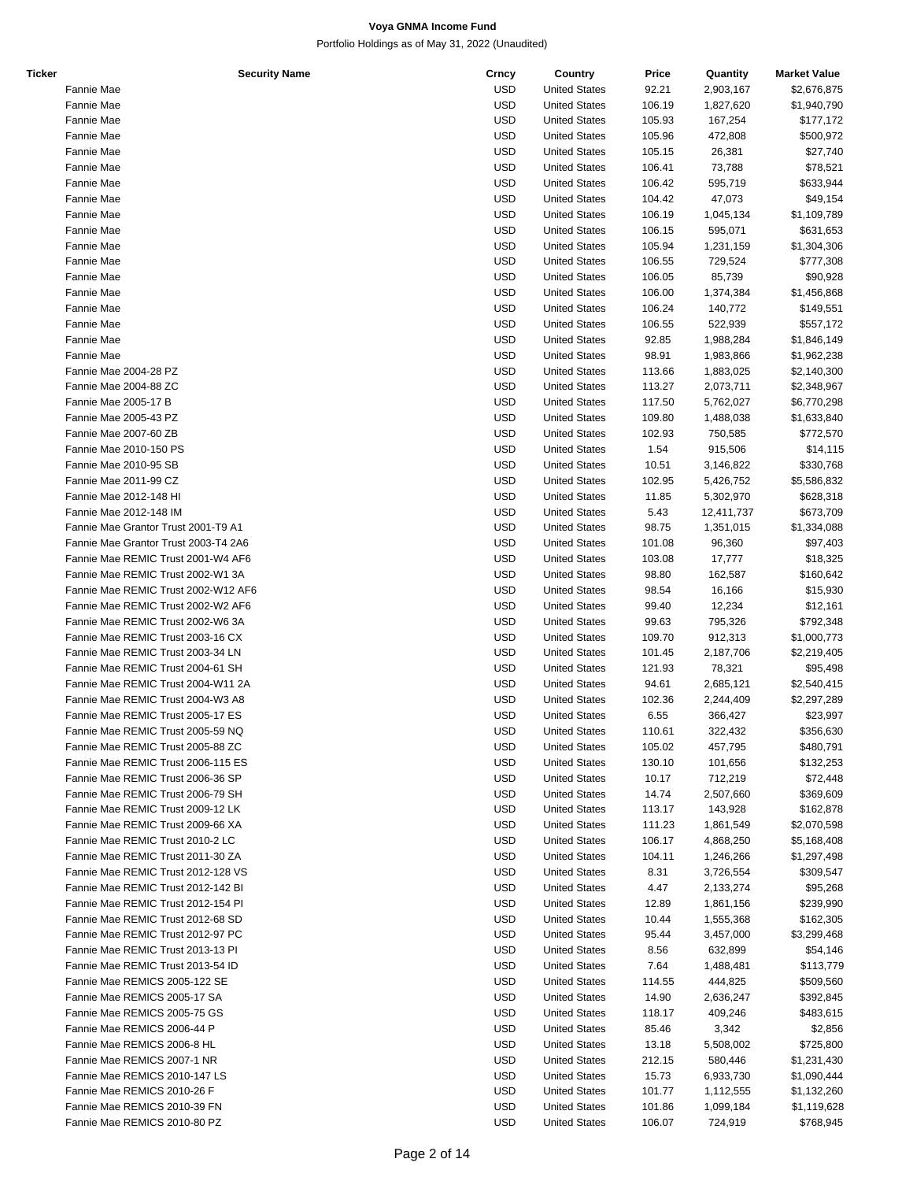| <b>Ticker</b> | <b>Security Name</b>                 | Crncy      | Country              | Price  | Quantity   | <b>Market Value</b> |
|---------------|--------------------------------------|------------|----------------------|--------|------------|---------------------|
|               | Fannie Mae                           | <b>USD</b> | <b>United States</b> | 92.21  | 2,903,167  | \$2,676,875         |
|               | Fannie Mae                           | <b>USD</b> | <b>United States</b> | 106.19 | 1,827,620  | \$1,940,790         |
|               | Fannie Mae                           | <b>USD</b> | <b>United States</b> | 105.93 | 167,254    | \$177,172           |
|               | Fannie Mae                           | <b>USD</b> | <b>United States</b> | 105.96 | 472,808    | \$500,972           |
|               | Fannie Mae                           | <b>USD</b> | <b>United States</b> | 105.15 | 26,381     | \$27,740            |
|               | Fannie Mae                           | <b>USD</b> | <b>United States</b> | 106.41 | 73,788     | \$78,521            |
|               | Fannie Mae                           | <b>USD</b> | <b>United States</b> | 106.42 | 595,719    | \$633,944           |
|               | Fannie Mae                           | <b>USD</b> | <b>United States</b> | 104.42 | 47,073     | \$49,154            |
|               | Fannie Mae                           | <b>USD</b> | <b>United States</b> | 106.19 | 1,045,134  | \$1,109,789         |
|               | Fannie Mae                           | <b>USD</b> | <b>United States</b> | 106.15 | 595,071    | \$631,653           |
|               | Fannie Mae                           | <b>USD</b> | <b>United States</b> | 105.94 | 1,231,159  | \$1,304,306         |
|               | Fannie Mae                           | <b>USD</b> | <b>United States</b> | 106.55 | 729,524    | \$777,308           |
|               | Fannie Mae                           | <b>USD</b> | <b>United States</b> | 106.05 | 85,739     | \$90,928            |
|               |                                      |            |                      |        |            |                     |
|               | Fannie Mae                           | <b>USD</b> | <b>United States</b> | 106.00 | 1,374,384  | \$1,456,868         |
|               | Fannie Mae                           | <b>USD</b> | <b>United States</b> | 106.24 | 140,772    | \$149,551           |
|               | Fannie Mae                           | <b>USD</b> | <b>United States</b> | 106.55 | 522,939    | \$557,172           |
|               | Fannie Mae                           | <b>USD</b> | <b>United States</b> | 92.85  | 1,988,284  | \$1,846,149         |
|               | Fannie Mae                           | <b>USD</b> | <b>United States</b> | 98.91  | 1,983,866  | \$1,962,238         |
|               | Fannie Mae 2004-28 PZ                | <b>USD</b> | <b>United States</b> | 113.66 | 1,883,025  | \$2,140,300         |
|               | Fannie Mae 2004-88 ZC                | <b>USD</b> | <b>United States</b> | 113.27 | 2,073,711  | \$2,348,967         |
|               | Fannie Mae 2005-17 B                 | <b>USD</b> | <b>United States</b> | 117.50 | 5,762,027  | \$6,770,298         |
|               | Fannie Mae 2005-43 PZ                | <b>USD</b> | <b>United States</b> | 109.80 | 1,488,038  | \$1,633,840         |
|               | Fannie Mae 2007-60 ZB                | <b>USD</b> | <b>United States</b> | 102.93 | 750,585    | \$772,570           |
|               | Fannie Mae 2010-150 PS               | <b>USD</b> | <b>United States</b> | 1.54   | 915,506    | \$14,115            |
|               | Fannie Mae 2010-95 SB                | <b>USD</b> | <b>United States</b> | 10.51  | 3,146,822  | \$330,768           |
|               | Fannie Mae 2011-99 CZ                | <b>USD</b> | <b>United States</b> | 102.95 | 5,426,752  | \$5,586,832         |
|               | Fannie Mae 2012-148 HI               | <b>USD</b> | <b>United States</b> | 11.85  | 5,302,970  | \$628,318           |
|               | Fannie Mae 2012-148 IM               | <b>USD</b> | <b>United States</b> | 5.43   | 12,411,737 | \$673,709           |
|               | Fannie Mae Grantor Trust 2001-T9 A1  | <b>USD</b> | <b>United States</b> | 98.75  | 1,351,015  | \$1,334,088         |
|               | Fannie Mae Grantor Trust 2003-T4 2A6 | <b>USD</b> | <b>United States</b> | 101.08 | 96,360     | \$97,403            |
|               | Fannie Mae REMIC Trust 2001-W4 AF6   | <b>USD</b> | <b>United States</b> | 103.08 | 17,777     | \$18,325            |
|               | Fannie Mae REMIC Trust 2002-W1 3A    | <b>USD</b> | <b>United States</b> | 98.80  | 162,587    | \$160,642           |
|               | Fannie Mae REMIC Trust 2002-W12 AF6  | <b>USD</b> | <b>United States</b> | 98.54  | 16,166     | \$15,930            |
|               | Fannie Mae REMIC Trust 2002-W2 AF6   | <b>USD</b> | <b>United States</b> | 99.40  | 12,234     | \$12,161            |
|               |                                      |            |                      |        |            |                     |
|               | Fannie Mae REMIC Trust 2002-W6 3A    | <b>USD</b> | <b>United States</b> | 99.63  | 795,326    | \$792,348           |
|               | Fannie Mae REMIC Trust 2003-16 CX    | <b>USD</b> | <b>United States</b> | 109.70 | 912,313    | \$1,000,773         |
|               | Fannie Mae REMIC Trust 2003-34 LN    | <b>USD</b> | <b>United States</b> | 101.45 | 2,187,706  | \$2,219,405         |
|               | Fannie Mae REMIC Trust 2004-61 SH    | <b>USD</b> | <b>United States</b> | 121.93 | 78,321     | \$95,498            |
|               | Fannie Mae REMIC Trust 2004-W11 2A   | <b>USD</b> | <b>United States</b> | 94.61  | 2,685,121  | \$2,540,415         |
|               | Fannie Mae REMIC Trust 2004-W3 A8    | <b>USD</b> | <b>United States</b> | 102.36 | 2,244,409  | \$2,297,289         |
|               | Fannie Mae REMIC Trust 2005-17 ES    | <b>USD</b> | <b>United States</b> | 6.55   | 366,427    | \$23,997            |
|               | Fannie Mae REMIC Trust 2005-59 NQ    | <b>USD</b> | <b>United States</b> | 110.61 | 322,432    | \$356,630           |
|               | Fannie Mae REMIC Trust 2005-88 ZC    | <b>USD</b> | <b>United States</b> | 105.02 | 457,795    | \$480,791           |
|               | Fannie Mae REMIC Trust 2006-115 ES   | <b>USD</b> | <b>United States</b> | 130.10 | 101,656    | \$132,253           |
|               | Fannie Mae REMIC Trust 2006-36 SP    | <b>USD</b> | <b>United States</b> | 10.17  | 712,219    | \$72,448            |
|               | Fannie Mae REMIC Trust 2006-79 SH    | <b>USD</b> | <b>United States</b> | 14.74  | 2,507,660  | \$369,609           |
|               | Fannie Mae REMIC Trust 2009-12 LK    | <b>USD</b> | <b>United States</b> | 113.17 | 143,928    | \$162,878           |
|               | Fannie Mae REMIC Trust 2009-66 XA    | <b>USD</b> | <b>United States</b> | 111.23 | 1,861,549  | \$2,070,598         |
|               | Fannie Mae REMIC Trust 2010-2 LC     | <b>USD</b> | <b>United States</b> | 106.17 | 4,868,250  | \$5,168,408         |
|               | Fannie Mae REMIC Trust 2011-30 ZA    | <b>USD</b> | <b>United States</b> | 104.11 | 1,246,266  | \$1,297,498         |
|               | Fannie Mae REMIC Trust 2012-128 VS   | <b>USD</b> | <b>United States</b> | 8.31   | 3,726,554  | \$309,547           |
|               | Fannie Mae REMIC Trust 2012-142 BI   | <b>USD</b> | <b>United States</b> | 4.47   | 2,133,274  | \$95,268            |
|               | Fannie Mae REMIC Trust 2012-154 PI   | <b>USD</b> | <b>United States</b> | 12.89  | 1,861,156  | \$239,990           |
|               | Fannie Mae REMIC Trust 2012-68 SD    | <b>USD</b> | <b>United States</b> | 10.44  | 1,555,368  | \$162,305           |
|               | Fannie Mae REMIC Trust 2012-97 PC    | <b>USD</b> | <b>United States</b> | 95.44  | 3,457,000  | \$3,299,468         |
|               | Fannie Mae REMIC Trust 2013-13 PI    | <b>USD</b> | <b>United States</b> | 8.56   | 632,899    | \$54,146            |
|               |                                      |            |                      |        |            |                     |
|               | Fannie Mae REMIC Trust 2013-54 ID    | <b>USD</b> | <b>United States</b> | 7.64   | 1,488,481  | \$113,779           |
|               | Fannie Mae REMICS 2005-122 SE        | <b>USD</b> | <b>United States</b> | 114.55 | 444,825    | \$509,560           |
|               | Fannie Mae REMICS 2005-17 SA         | <b>USD</b> | <b>United States</b> | 14.90  | 2,636,247  | \$392,845           |
|               | Fannie Mae REMICS 2005-75 GS         | <b>USD</b> | <b>United States</b> | 118.17 | 409,246    | \$483,615           |
|               | Fannie Mae REMICS 2006-44 P          | <b>USD</b> | <b>United States</b> | 85.46  | 3,342      | \$2,856             |
|               | Fannie Mae REMICS 2006-8 HL          | <b>USD</b> | <b>United States</b> | 13.18  | 5,508,002  | \$725,800           |
|               | Fannie Mae REMICS 2007-1 NR          | <b>USD</b> | <b>United States</b> | 212.15 | 580,446    | \$1,231,430         |
|               | Fannie Mae REMICS 2010-147 LS        | <b>USD</b> | <b>United States</b> | 15.73  | 6,933,730  | \$1,090,444         |
|               | Fannie Mae REMICS 2010-26 F          | <b>USD</b> | <b>United States</b> | 101.77 | 1,112,555  | \$1,132,260         |
|               | Fannie Mae REMICS 2010-39 FN         | <b>USD</b> | <b>United States</b> | 101.86 | 1,099,184  | \$1,119,628         |
|               | Fannie Mae REMICS 2010-80 PZ         | <b>USD</b> | <b>United States</b> | 106.07 | 724,919    | \$768,945           |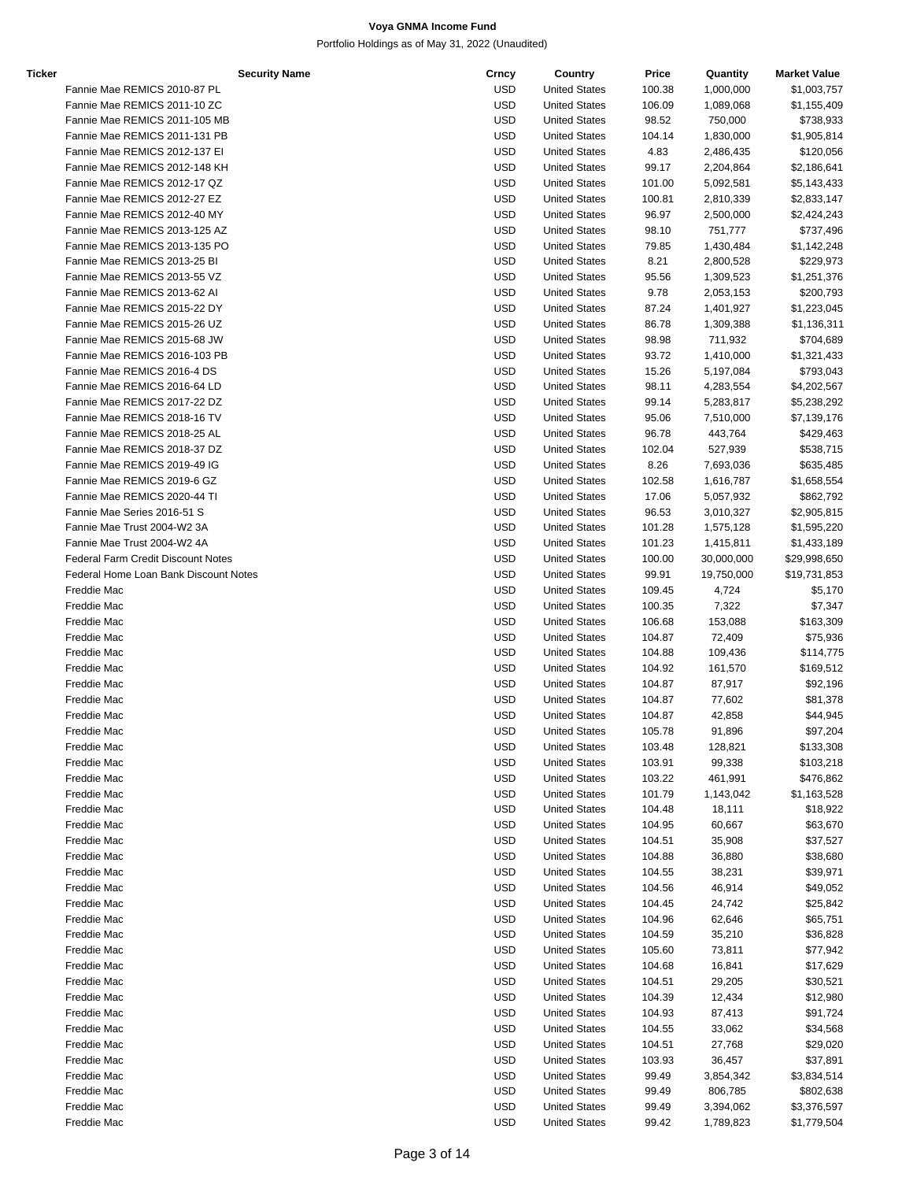| <b>Ticker</b> | <b>Security Name</b>                      | Crncy      | Country              | Price  | Quantity   | <b>Market Value</b> |
|---------------|-------------------------------------------|------------|----------------------|--------|------------|---------------------|
|               | Fannie Mae REMICS 2010-87 PL              | <b>USD</b> | <b>United States</b> | 100.38 | 1,000,000  | \$1,003,757         |
|               | Fannie Mae REMICS 2011-10 ZC              | <b>USD</b> | <b>United States</b> | 106.09 | 1,089,068  | \$1,155,409         |
|               | Fannie Mae REMICS 2011-105 MB             | <b>USD</b> | <b>United States</b> | 98.52  | 750,000    | \$738,933           |
|               | Fannie Mae REMICS 2011-131 PB             | <b>USD</b> | <b>United States</b> | 104.14 | 1,830,000  | \$1,905,814         |
|               | Fannie Mae REMICS 2012-137 EI             | <b>USD</b> | <b>United States</b> | 4.83   | 2,486,435  | \$120,056           |
|               | Fannie Mae REMICS 2012-148 KH             | <b>USD</b> | <b>United States</b> | 99.17  | 2,204,864  | \$2,186,641         |
|               | Fannie Mae REMICS 2012-17 QZ              | <b>USD</b> | <b>United States</b> | 101.00 | 5,092,581  | \$5,143,433         |
|               | Fannie Mae REMICS 2012-27 EZ              | <b>USD</b> | <b>United States</b> | 100.81 | 2,810,339  | \$2,833,147         |
|               | Fannie Mae REMICS 2012-40 MY              | <b>USD</b> | <b>United States</b> | 96.97  | 2,500,000  | \$2,424,243         |
|               | Fannie Mae REMICS 2013-125 AZ             | <b>USD</b> | <b>United States</b> | 98.10  | 751,777    | \$737,496           |
|               | Fannie Mae REMICS 2013-135 PO             | <b>USD</b> | <b>United States</b> | 79.85  | 1,430,484  | \$1,142,248         |
|               | Fannie Mae REMICS 2013-25 BI              | <b>USD</b> | <b>United States</b> | 8.21   | 2,800,528  | \$229,973           |
|               | Fannie Mae REMICS 2013-55 VZ              | <b>USD</b> | <b>United States</b> | 95.56  | 1,309,523  | \$1,251,376         |
|               | Fannie Mae REMICS 2013-62 AI              | <b>USD</b> | <b>United States</b> | 9.78   | 2,053,153  | \$200,793           |
|               | Fannie Mae REMICS 2015-22 DY              | <b>USD</b> | <b>United States</b> | 87.24  | 1,401,927  | \$1,223,045         |
|               | Fannie Mae REMICS 2015-26 UZ              | <b>USD</b> | <b>United States</b> | 86.78  | 1,309,388  | \$1,136,311         |
|               | Fannie Mae REMICS 2015-68 JW              | <b>USD</b> | <b>United States</b> | 98.98  | 711,932    | \$704,689           |
|               | Fannie Mae REMICS 2016-103 PB             | <b>USD</b> | <b>United States</b> | 93.72  | 1,410,000  | \$1,321,433         |
|               | Fannie Mae REMICS 2016-4 DS               | <b>USD</b> | <b>United States</b> | 15.26  | 5,197,084  | \$793,043           |
|               | Fannie Mae REMICS 2016-64 LD              | <b>USD</b> | <b>United States</b> | 98.11  | 4,283,554  | \$4,202,567         |
|               | Fannie Mae REMICS 2017-22 DZ              | <b>USD</b> | <b>United States</b> | 99.14  | 5,283,817  | \$5,238,292         |
|               |                                           | <b>USD</b> |                      |        |            |                     |
|               | Fannie Mae REMICS 2018-16 TV              |            | <b>United States</b> | 95.06  | 7,510,000  | \$7,139,176         |
|               | Fannie Mae REMICS 2018-25 AL              | <b>USD</b> | <b>United States</b> | 96.78  | 443,764    | \$429,463           |
|               | Fannie Mae REMICS 2018-37 DZ              | <b>USD</b> | <b>United States</b> | 102.04 | 527,939    | \$538,715           |
|               | Fannie Mae REMICS 2019-49 IG              | <b>USD</b> | <b>United States</b> | 8.26   | 7,693,036  | \$635,485           |
|               | Fannie Mae REMICS 2019-6 GZ               | <b>USD</b> | <b>United States</b> | 102.58 | 1,616,787  | \$1,658,554         |
|               | Fannie Mae REMICS 2020-44 TI              | <b>USD</b> | <b>United States</b> | 17.06  | 5,057,932  | \$862,792           |
|               | Fannie Mae Series 2016-51 S               | <b>USD</b> | <b>United States</b> | 96.53  | 3,010,327  | \$2,905,815         |
|               | Fannie Mae Trust 2004-W2 3A               | <b>USD</b> | <b>United States</b> | 101.28 | 1,575,128  | \$1,595,220         |
|               | Fannie Mae Trust 2004-W2 4A               | <b>USD</b> | <b>United States</b> | 101.23 | 1,415,811  | \$1,433,189         |
|               | <b>Federal Farm Credit Discount Notes</b> | <b>USD</b> | <b>United States</b> | 100.00 | 30,000,000 | \$29,998,650        |
|               | Federal Home Loan Bank Discount Notes     | <b>USD</b> | <b>United States</b> | 99.91  | 19,750,000 | \$19,731,853        |
|               | Freddie Mac                               | <b>USD</b> | <b>United States</b> | 109.45 | 4,724      | \$5,170             |
|               | Freddie Mac                               | <b>USD</b> | <b>United States</b> | 100.35 | 7,322      | \$7,347             |
|               | Freddie Mac                               | <b>USD</b> | <b>United States</b> | 106.68 | 153,088    | \$163,309           |
|               | Freddie Mac                               | <b>USD</b> | <b>United States</b> | 104.87 | 72,409     | \$75,936            |
|               | Freddie Mac                               | <b>USD</b> | <b>United States</b> | 104.88 | 109,436    | \$114,775           |
|               | Freddie Mac                               | <b>USD</b> | <b>United States</b> | 104.92 | 161,570    | \$169,512           |
|               | Freddie Mac                               | <b>USD</b> | <b>United States</b> | 104.87 | 87,917     | \$92,196            |
|               | Freddie Mac                               | <b>USD</b> | <b>United States</b> | 104.87 | 77,602     | \$81,378            |
|               | Freddie Mac                               | <b>USD</b> | <b>United States</b> | 104.87 | 42,858     | \$44,945            |
|               | Freddie Mac                               | <b>USD</b> | <b>United States</b> | 105.78 | 91,896     | \$97,204            |
|               | Freddie Mac                               | <b>USD</b> | <b>United States</b> | 103.48 | 128,821    | \$133,308           |
|               | Freddie Mac                               | <b>USD</b> | <b>United States</b> | 103.91 | 99,338     | \$103,218           |
|               | Freddie Mac                               | <b>USD</b> | <b>United States</b> | 103.22 | 461,991    | \$476,862           |
|               | Freddie Mac                               | <b>USD</b> | <b>United States</b> | 101.79 | 1,143,042  | \$1,163,528         |
|               | Freddie Mac                               | <b>USD</b> | <b>United States</b> | 104.48 | 18,111     | \$18,922            |
|               | Freddie Mac                               | <b>USD</b> | <b>United States</b> | 104.95 | 60,667     | \$63,670            |
|               | Freddie Mac                               | <b>USD</b> | <b>United States</b> | 104.51 | 35,908     | \$37,527            |
|               | Freddie Mac                               | <b>USD</b> | <b>United States</b> | 104.88 | 36,880     | \$38,680            |
|               | Freddie Mac                               | <b>USD</b> | <b>United States</b> | 104.55 | 38,231     | \$39,971            |
|               | Freddie Mac                               | <b>USD</b> | <b>United States</b> | 104.56 | 46,914     | \$49,052            |
|               | Freddie Mac                               | <b>USD</b> | <b>United States</b> | 104.45 | 24,742     | \$25,842            |
|               |                                           | <b>USD</b> |                      |        |            |                     |
|               | Freddie Mac                               |            | <b>United States</b> | 104.96 | 62,646     | \$65,751            |
|               | Freddie Mac                               | <b>USD</b> | <b>United States</b> | 104.59 | 35,210     | \$36,828            |
|               | Freddie Mac                               | <b>USD</b> | <b>United States</b> | 105.60 | 73,811     | \$77,942            |
|               | Freddie Mac                               | <b>USD</b> | <b>United States</b> | 104.68 | 16,841     | \$17,629            |
|               | Freddie Mac                               | <b>USD</b> | <b>United States</b> | 104.51 | 29,205     | \$30,521            |
|               | Freddie Mac                               | <b>USD</b> | <b>United States</b> | 104.39 | 12,434     | \$12,980            |
|               | Freddie Mac                               | <b>USD</b> | <b>United States</b> | 104.93 | 87,413     | \$91,724            |
|               | Freddie Mac                               | <b>USD</b> | <b>United States</b> | 104.55 | 33,062     | \$34,568            |
|               | Freddie Mac                               | <b>USD</b> | <b>United States</b> | 104.51 | 27,768     | \$29,020            |
|               | Freddie Mac                               | <b>USD</b> | <b>United States</b> | 103.93 | 36,457     | \$37,891            |
|               | Freddie Mac                               | <b>USD</b> | <b>United States</b> | 99.49  | 3,854,342  | \$3,834,514         |
|               | Freddie Mac                               | <b>USD</b> | <b>United States</b> | 99.49  | 806,785    | \$802,638           |
|               | Freddie Mac                               | USD        | <b>United States</b> | 99.49  | 3,394,062  | \$3,376,597         |
|               | Freddie Mac                               | <b>USD</b> | <b>United States</b> | 99.42  | 1,789,823  | \$1,779,504         |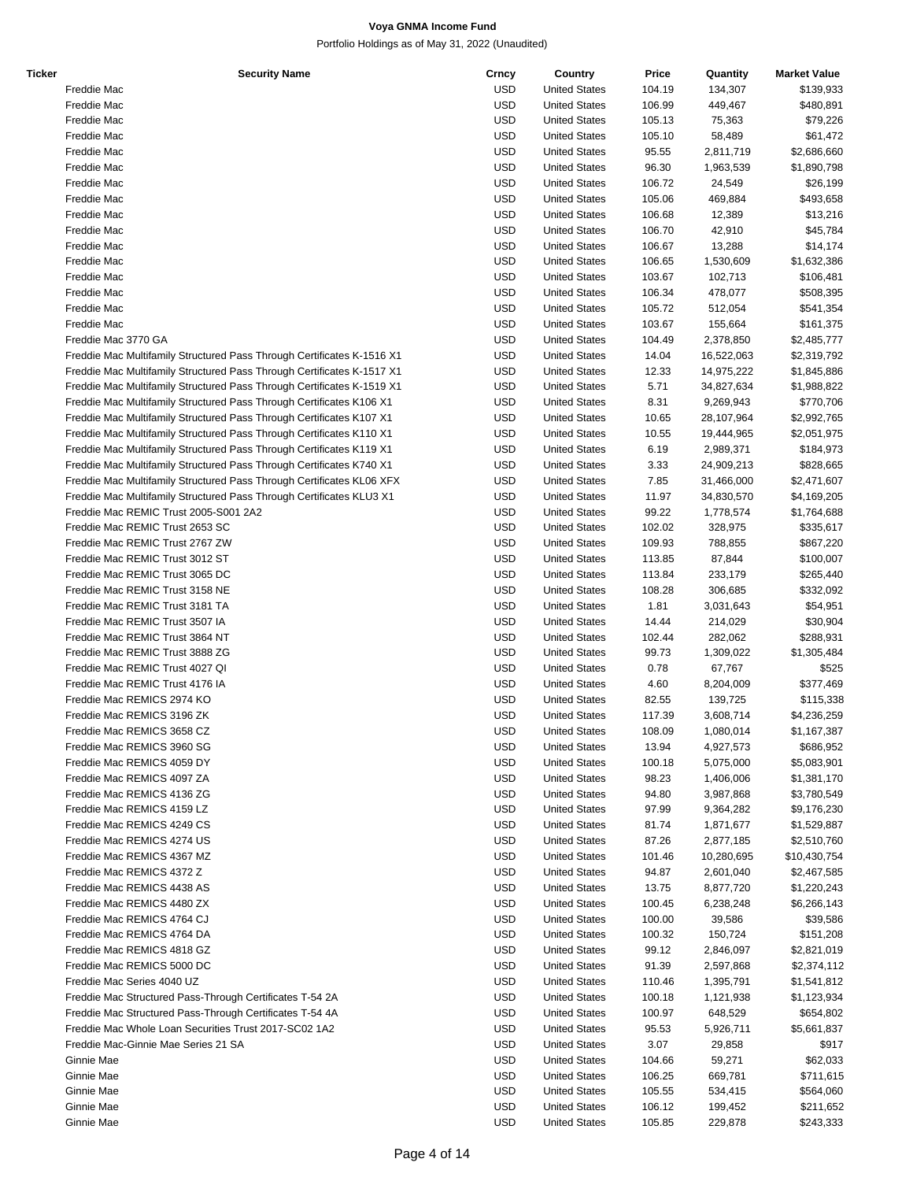| Ticker | <b>Security Name</b>                                                   | Crncy      | Country                                      | Price  | Quantity   | <b>Market Value</b> |
|--------|------------------------------------------------------------------------|------------|----------------------------------------------|--------|------------|---------------------|
|        | Freddie Mac                                                            | <b>USD</b> | <b>United States</b>                         | 104.19 | 134,307    | \$139,933           |
|        | Freddie Mac                                                            | <b>USD</b> | <b>United States</b>                         | 106.99 | 449,467    | \$480,891           |
|        | Freddie Mac                                                            | <b>USD</b> | <b>United States</b>                         | 105.13 | 75,363     | \$79,226            |
|        | Freddie Mac                                                            | <b>USD</b> | <b>United States</b>                         | 105.10 | 58,489     | \$61,472            |
|        | Freddie Mac                                                            | <b>USD</b> | <b>United States</b>                         | 95.55  | 2,811,719  | \$2,686,660         |
|        | Freddie Mac                                                            | <b>USD</b> | <b>United States</b>                         | 96.30  | 1,963,539  | \$1,890,798         |
|        | Freddie Mac                                                            | <b>USD</b> | <b>United States</b>                         | 106.72 | 24,549     | \$26,199            |
|        | Freddie Mac                                                            | <b>USD</b> | <b>United States</b>                         | 105.06 | 469,884    | \$493,658           |
|        | Freddie Mac                                                            | <b>USD</b> | <b>United States</b>                         | 106.68 | 12,389     | \$13,216            |
|        | Freddie Mac                                                            | <b>USD</b> | <b>United States</b>                         | 106.70 | 42,910     | \$45,784            |
|        | Freddie Mac                                                            | <b>USD</b> | <b>United States</b>                         | 106.67 | 13,288     | \$14,174            |
|        | Freddie Mac                                                            | <b>USD</b> | <b>United States</b>                         | 106.65 | 1,530,609  | \$1,632,386         |
|        | Freddie Mac                                                            | <b>USD</b> | <b>United States</b>                         | 103.67 | 102,713    | \$106,481           |
|        | Freddie Mac                                                            | <b>USD</b> | <b>United States</b>                         | 106.34 | 478,077    | \$508,395           |
|        | Freddie Mac                                                            | <b>USD</b> | <b>United States</b>                         | 105.72 | 512,054    | \$541,354           |
|        | Freddie Mac                                                            | <b>USD</b> | <b>United States</b>                         | 103.67 | 155,664    | \$161,375           |
|        |                                                                        |            |                                              |        |            |                     |
|        | Freddie Mac 3770 GA                                                    | <b>USD</b> | <b>United States</b>                         | 104.49 | 2,378,850  | \$2,485,777         |
|        | Freddie Mac Multifamily Structured Pass Through Certificates K-1516 X1 | <b>USD</b> | <b>United States</b>                         | 14.04  | 16,522,063 | \$2,319,792         |
|        | Freddie Mac Multifamily Structured Pass Through Certificates K-1517 X1 | <b>USD</b> | <b>United States</b>                         | 12.33  | 14,975,222 | \$1,845,886         |
|        | Freddie Mac Multifamily Structured Pass Through Certificates K-1519 X1 | <b>USD</b> | <b>United States</b>                         | 5.71   | 34,827,634 | \$1,988,822         |
|        | Freddie Mac Multifamily Structured Pass Through Certificates K106 X1   | <b>USD</b> | <b>United States</b>                         | 8.31   | 9,269,943  | \$770,706           |
|        | Freddie Mac Multifamily Structured Pass Through Certificates K107 X1   | <b>USD</b> | <b>United States</b>                         | 10.65  | 28,107,964 | \$2,992,765         |
|        | Freddie Mac Multifamily Structured Pass Through Certificates K110 X1   | <b>USD</b> | <b>United States</b>                         | 10.55  | 19,444,965 | \$2,051,975         |
|        | Freddie Mac Multifamily Structured Pass Through Certificates K119 X1   | <b>USD</b> | <b>United States</b>                         | 6.19   | 2,989,371  | \$184,973           |
|        | Freddie Mac Multifamily Structured Pass Through Certificates K740 X1   | <b>USD</b> | <b>United States</b>                         | 3.33   | 24,909,213 | \$828,665           |
|        | Freddie Mac Multifamily Structured Pass Through Certificates KL06 XFX  | <b>USD</b> | <b>United States</b>                         | 7.85   | 31,466,000 | \$2,471,607         |
|        | Freddie Mac Multifamily Structured Pass Through Certificates KLU3 X1   | <b>USD</b> | <b>United States</b>                         | 11.97  | 34,830,570 | \$4,169,205         |
|        | Freddie Mac REMIC Trust 2005-S001 2A2                                  | <b>USD</b> | <b>United States</b>                         | 99.22  | 1,778,574  | \$1,764,688         |
|        | Freddie Mac REMIC Trust 2653 SC                                        | <b>USD</b> | <b>United States</b>                         | 102.02 | 328,975    | \$335,617           |
|        | Freddie Mac REMIC Trust 2767 ZW                                        | <b>USD</b> | <b>United States</b>                         | 109.93 | 788,855    | \$867,220           |
|        | Freddie Mac REMIC Trust 3012 ST                                        | <b>USD</b> | <b>United States</b>                         | 113.85 | 87,844     | \$100,007           |
|        | Freddie Mac REMIC Trust 3065 DC                                        | <b>USD</b> | <b>United States</b>                         | 113.84 | 233,179    | \$265,440           |
|        | Freddie Mac REMIC Trust 3158 NE                                        | <b>USD</b> | <b>United States</b>                         | 108.28 | 306,685    | \$332,092           |
|        | Freddie Mac REMIC Trust 3181 TA                                        | <b>USD</b> | <b>United States</b>                         | 1.81   | 3,031,643  | \$54,951            |
|        | Freddie Mac REMIC Trust 3507 IA                                        | <b>USD</b> | <b>United States</b>                         | 14.44  | 214,029    | \$30,904            |
|        | Freddie Mac REMIC Trust 3864 NT                                        | <b>USD</b> | <b>United States</b>                         | 102.44 | 282,062    | \$288,931           |
|        | Freddie Mac REMIC Trust 3888 ZG                                        | <b>USD</b> | <b>United States</b>                         | 99.73  | 1,309,022  | \$1,305,484         |
|        | Freddie Mac REMIC Trust 4027 QI                                        | <b>USD</b> | <b>United States</b>                         | 0.78   | 67,767     | \$525               |
|        | Freddie Mac REMIC Trust 4176 IA                                        | <b>USD</b> | <b>United States</b>                         | 4.60   | 8,204,009  | \$377,469           |
|        | Freddie Mac REMICS 2974 KO                                             | <b>USD</b> | <b>United States</b>                         | 82.55  | 139,725    | \$115,338           |
|        | Freddie Mac REMICS 3196 ZK                                             | <b>USD</b> | <b>United States</b>                         | 117.39 | 3,608,714  | \$4,236,259         |
|        | Freddie Mac REMICS 3658 CZ                                             | <b>USD</b> | <b>United States</b>                         | 108.09 | 1,080,014  | \$1,167,387         |
|        | Freddie Mac REMICS 3960 SG                                             | <b>USD</b> | <b>United States</b>                         | 13.94  | 4,927,573  | \$686,952           |
|        | Freddie Mac REMICS 4059 DY                                             | <b>USD</b> | <b>United States</b>                         | 100.18 | 5,075,000  | \$5,083,901         |
|        | Freddie Mac REMICS 4097 ZA                                             | <b>USD</b> | <b>United States</b>                         | 98.23  |            | \$1,381,170         |
|        |                                                                        |            |                                              |        | 1,406,006  |                     |
|        | Freddie Mac REMICS 4136 ZG                                             | <b>USD</b> | <b>United States</b><br><b>United States</b> | 94.80  | 3,987,868  | \$3,780,549         |
|        | Freddie Mac REMICS 4159 LZ                                             | <b>USD</b> |                                              | 97.99  | 9,364,282  | \$9,176,230         |
|        | Freddie Mac REMICS 4249 CS                                             | <b>USD</b> | <b>United States</b>                         | 81.74  | 1,871,677  | \$1,529,887         |
|        | Freddie Mac REMICS 4274 US                                             | <b>USD</b> | <b>United States</b>                         | 87.26  | 2,877,185  | \$2,510,760         |
|        | Freddie Mac REMICS 4367 MZ                                             | <b>USD</b> | <b>United States</b>                         | 101.46 | 10,280,695 | \$10,430,754        |
|        | Freddie Mac REMICS 4372 Z                                              | <b>USD</b> | <b>United States</b>                         | 94.87  | 2,601,040  | \$2,467,585         |
|        | Freddie Mac REMICS 4438 AS                                             | <b>USD</b> | <b>United States</b>                         | 13.75  | 8,877,720  | \$1,220,243         |
|        | Freddie Mac REMICS 4480 ZX                                             | <b>USD</b> | <b>United States</b>                         | 100.45 | 6,238,248  | \$6,266,143         |
|        | Freddie Mac REMICS 4764 CJ                                             | <b>USD</b> | <b>United States</b>                         | 100.00 | 39,586     | \$39,586            |
|        | Freddie Mac REMICS 4764 DA                                             | <b>USD</b> | <b>United States</b>                         | 100.32 | 150,724    | \$151,208           |
|        | Freddie Mac REMICS 4818 GZ                                             | <b>USD</b> | <b>United States</b>                         | 99.12  | 2,846,097  | \$2,821,019         |
|        | Freddie Mac REMICS 5000 DC                                             | <b>USD</b> | <b>United States</b>                         | 91.39  | 2,597,868  | \$2,374,112         |
|        | Freddie Mac Series 4040 UZ                                             | <b>USD</b> | <b>United States</b>                         | 110.46 | 1,395,791  | \$1,541,812         |
|        | Freddie Mac Structured Pass-Through Certificates T-54 2A               | <b>USD</b> | <b>United States</b>                         | 100.18 | 1,121,938  | \$1,123,934         |
|        | Freddie Mac Structured Pass-Through Certificates T-54 4A               | <b>USD</b> | <b>United States</b>                         | 100.97 | 648,529    | \$654,802           |
|        | Freddie Mac Whole Loan Securities Trust 2017-SC02 1A2                  | <b>USD</b> | <b>United States</b>                         | 95.53  | 5,926,711  | \$5,661,837         |
|        | Freddie Mac-Ginnie Mae Series 21 SA                                    | <b>USD</b> | <b>United States</b>                         | 3.07   | 29,858     | \$917               |
|        | Ginnie Mae                                                             | <b>USD</b> | <b>United States</b>                         | 104.66 | 59,271     | \$62,033            |
|        | Ginnie Mae                                                             | <b>USD</b> | <b>United States</b>                         | 106.25 | 669,781    | \$711,615           |
|        | Ginnie Mae                                                             | <b>USD</b> | <b>United States</b>                         | 105.55 | 534,415    | \$564,060           |
|        | Ginnie Mae                                                             | <b>USD</b> | <b>United States</b>                         | 106.12 | 199,452    | \$211,652           |
|        | Ginnie Mae                                                             | <b>USD</b> | <b>United States</b>                         | 105.85 | 229,878    | \$243,333           |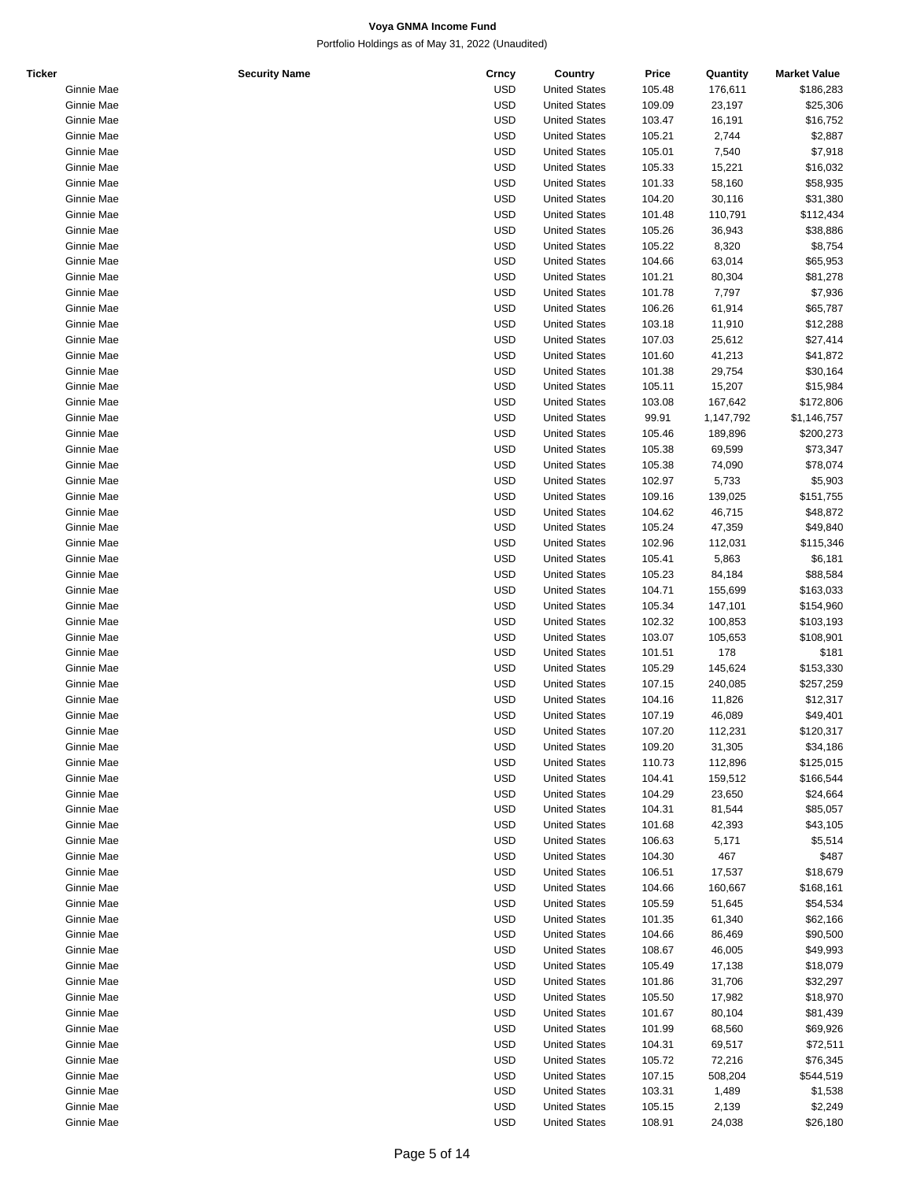| <b>Ticker</b> | <b>Security Name</b> | Crncy      | Country              | Price  | Quantity  | <b>Market Value</b> |
|---------------|----------------------|------------|----------------------|--------|-----------|---------------------|
|               | Ginnie Mae           | <b>USD</b> | <b>United States</b> | 105.48 | 176,611   | \$186,283           |
|               | Ginnie Mae           | <b>USD</b> | <b>United States</b> | 109.09 | 23,197    | \$25,306            |
|               | Ginnie Mae           | <b>USD</b> | <b>United States</b> | 103.47 | 16,191    | \$16,752            |
|               | Ginnie Mae           | <b>USD</b> | <b>United States</b> | 105.21 | 2,744     | \$2,887             |
|               | Ginnie Mae           | <b>USD</b> | <b>United States</b> | 105.01 | 7,540     | \$7,918             |
|               | Ginnie Mae           | <b>USD</b> | <b>United States</b> | 105.33 | 15,221    | \$16,032            |
|               | Ginnie Mae           | <b>USD</b> | <b>United States</b> | 101.33 | 58,160    | \$58,935            |
|               | Ginnie Mae           | <b>USD</b> | <b>United States</b> | 104.20 | 30,116    | \$31,380            |
|               | Ginnie Mae           | <b>USD</b> | <b>United States</b> | 101.48 | 110,791   | \$112,434           |
|               |                      |            |                      |        |           | \$38,886            |
|               | Ginnie Mae           | <b>USD</b> | <b>United States</b> | 105.26 | 36,943    |                     |
|               | Ginnie Mae           | <b>USD</b> | <b>United States</b> | 105.22 | 8,320     | \$8,754             |
|               | Ginnie Mae           | <b>USD</b> | <b>United States</b> | 104.66 | 63,014    | \$65,953            |
|               | Ginnie Mae           | <b>USD</b> | <b>United States</b> | 101.21 | 80,304    | \$81,278            |
|               | Ginnie Mae           | <b>USD</b> | <b>United States</b> | 101.78 | 7,797     | \$7,936             |
|               | Ginnie Mae           | <b>USD</b> | <b>United States</b> | 106.26 | 61,914    | \$65,787            |
|               | Ginnie Mae           | <b>USD</b> | <b>United States</b> | 103.18 | 11,910    | \$12,288            |
|               | Ginnie Mae           | <b>USD</b> | <b>United States</b> | 107.03 | 25,612    | \$27,414            |
|               | Ginnie Mae           | <b>USD</b> | <b>United States</b> | 101.60 | 41,213    | \$41,872            |
|               | Ginnie Mae           | <b>USD</b> | <b>United States</b> | 101.38 | 29,754    | \$30,164            |
|               | Ginnie Mae           | <b>USD</b> | <b>United States</b> | 105.11 | 15,207    | \$15,984            |
|               | Ginnie Mae           | <b>USD</b> | <b>United States</b> | 103.08 | 167,642   | \$172,806           |
|               | Ginnie Mae           | <b>USD</b> | <b>United States</b> | 99.91  | 1,147,792 | \$1,146,757         |
|               | Ginnie Mae           | <b>USD</b> | <b>United States</b> | 105.46 | 189,896   | \$200,273           |
|               |                      | <b>USD</b> | <b>United States</b> | 105.38 |           |                     |
|               | Ginnie Mae           |            |                      |        | 69,599    | \$73,347            |
|               | Ginnie Mae           | <b>USD</b> | <b>United States</b> | 105.38 | 74,090    | \$78,074            |
|               | Ginnie Mae           | <b>USD</b> | <b>United States</b> | 102.97 | 5,733     | \$5,903             |
|               | Ginnie Mae           | <b>USD</b> | <b>United States</b> | 109.16 | 139,025   | \$151,755           |
|               | Ginnie Mae           | <b>USD</b> | <b>United States</b> | 104.62 | 46,715    | \$48,872            |
|               | Ginnie Mae           | <b>USD</b> | <b>United States</b> | 105.24 | 47,359    | \$49,840            |
|               | Ginnie Mae           | <b>USD</b> | <b>United States</b> | 102.96 | 112,031   | \$115,346           |
|               | Ginnie Mae           | <b>USD</b> | <b>United States</b> | 105.41 | 5,863     | \$6,181             |
|               | Ginnie Mae           | <b>USD</b> | <b>United States</b> | 105.23 | 84,184    | \$88,584            |
|               | Ginnie Mae           | <b>USD</b> | <b>United States</b> | 104.71 | 155,699   | \$163,033           |
|               | Ginnie Mae           | <b>USD</b> | <b>United States</b> | 105.34 | 147,101   | \$154,960           |
|               | Ginnie Mae           | <b>USD</b> | <b>United States</b> | 102.32 | 100,853   | \$103,193           |
|               | Ginnie Mae           | <b>USD</b> | <b>United States</b> | 103.07 | 105,653   | \$108,901           |
|               |                      |            |                      |        |           |                     |
|               | Ginnie Mae           | <b>USD</b> | <b>United States</b> | 101.51 | 178       | \$181               |
|               | Ginnie Mae           | <b>USD</b> | <b>United States</b> | 105.29 | 145,624   | \$153,330           |
|               | Ginnie Mae           | <b>USD</b> | <b>United States</b> | 107.15 | 240,085   | \$257,259           |
|               | Ginnie Mae           | <b>USD</b> | <b>United States</b> | 104.16 | 11,826    | \$12,317            |
|               | Ginnie Mae           | <b>USD</b> | <b>United States</b> | 107.19 | 46,089    | \$49,401            |
|               | Ginnie Mae           | <b>USD</b> | <b>United States</b> | 107.20 | 112,231   | \$120,317           |
|               | Ginnie Mae           | <b>USD</b> | <b>United States</b> | 109.20 | 31,305    | \$34,186            |
|               | Ginnie Mae           | <b>USD</b> | <b>United States</b> | 110.73 | 112,896   | \$125,015           |
|               | Ginnie Mae           | <b>USD</b> | <b>United States</b> | 104.41 | 159,512   | \$166,544           |
|               | Ginnie Mae           | <b>USD</b> | <b>United States</b> | 104.29 | 23,650    | \$24,664            |
|               | Ginnie Mae           | <b>USD</b> | <b>United States</b> | 104.31 | 81,544    | \$85,057            |
|               | Ginnie Mae           | <b>USD</b> | <b>United States</b> | 101.68 | 42,393    | \$43,105            |
|               | Ginnie Mae           | <b>USD</b> | <b>United States</b> |        |           |                     |
|               |                      |            |                      | 106.63 | 5,171     | \$5,514             |
|               | Ginnie Mae           | <b>USD</b> | <b>United States</b> | 104.30 | 467       | \$487               |
|               | Ginnie Mae           | <b>USD</b> | <b>United States</b> | 106.51 | 17,537    | \$18,679            |
|               | Ginnie Mae           | <b>USD</b> | <b>United States</b> | 104.66 | 160,667   | \$168,161           |
|               | Ginnie Mae           | <b>USD</b> | <b>United States</b> | 105.59 | 51,645    | \$54,534            |
|               | Ginnie Mae           | <b>USD</b> | <b>United States</b> | 101.35 | 61,340    | \$62,166            |
|               | Ginnie Mae           | <b>USD</b> | <b>United States</b> | 104.66 | 86,469    | \$90,500            |
|               | Ginnie Mae           | <b>USD</b> | <b>United States</b> | 108.67 | 46,005    | \$49,993            |
|               | Ginnie Mae           | <b>USD</b> | <b>United States</b> | 105.49 | 17,138    | \$18,079            |
|               | Ginnie Mae           | <b>USD</b> | <b>United States</b> | 101.86 | 31,706    | \$32,297            |
|               | Ginnie Mae           | <b>USD</b> | <b>United States</b> | 105.50 | 17,982    | \$18,970            |
|               | Ginnie Mae           | <b>USD</b> | <b>United States</b> | 101.67 | 80,104    | \$81,439            |
|               | Ginnie Mae           | <b>USD</b> | <b>United States</b> | 101.99 | 68,560    | \$69,926            |
|               |                      |            |                      |        |           |                     |
|               | Ginnie Mae           | <b>USD</b> | <b>United States</b> | 104.31 | 69,517    | \$72,511            |
|               | Ginnie Mae           | <b>USD</b> | <b>United States</b> | 105.72 | 72,216    | \$76,345            |
|               | Ginnie Mae           | <b>USD</b> | <b>United States</b> | 107.15 | 508,204   | \$544,519           |
|               | Ginnie Mae           | <b>USD</b> | <b>United States</b> | 103.31 | 1,489     | \$1,538             |
|               | Ginnie Mae           | <b>USD</b> | <b>United States</b> | 105.15 | 2,139     | \$2,249             |
|               | Ginnie Mae           | <b>USD</b> | <b>United States</b> | 108.91 | 24,038    | \$26,180            |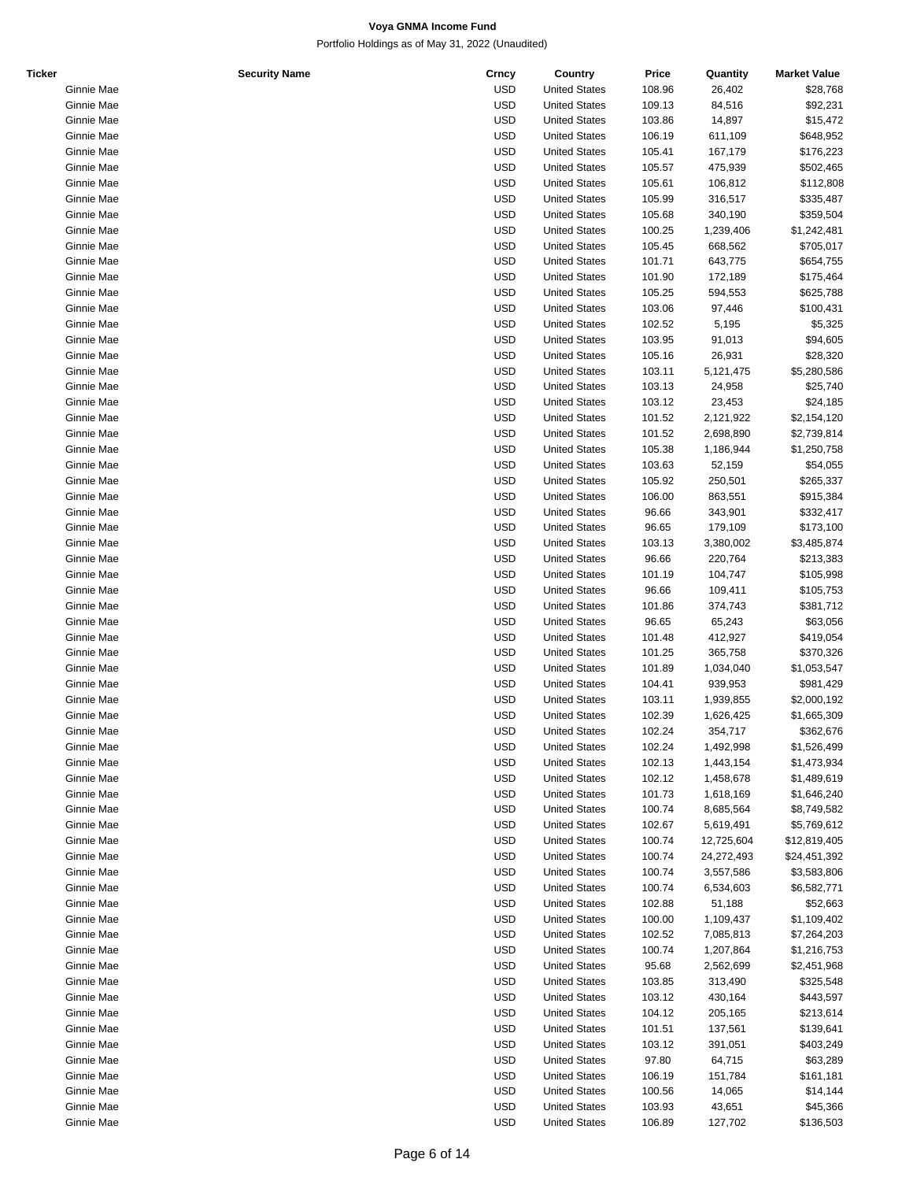| <b>Ticker</b> | <b>Security Name</b> | Crncy      | Country              | Price  | Quantity   | <b>Market Value</b> |
|---------------|----------------------|------------|----------------------|--------|------------|---------------------|
|               | Ginnie Mae           | <b>USD</b> | <b>United States</b> | 108.96 | 26,402     | \$28,768            |
|               | Ginnie Mae           | <b>USD</b> | <b>United States</b> | 109.13 | 84,516     | \$92,231            |
|               | Ginnie Mae           | <b>USD</b> | <b>United States</b> | 103.86 | 14,897     | \$15,472            |
|               | Ginnie Mae           | <b>USD</b> | <b>United States</b> | 106.19 | 611,109    | \$648,952           |
|               | Ginnie Mae           | <b>USD</b> | <b>United States</b> | 105.41 | 167,179    | \$176,223           |
|               | Ginnie Mae           | <b>USD</b> | <b>United States</b> | 105.57 | 475,939    | \$502,465           |
|               | Ginnie Mae           | <b>USD</b> | <b>United States</b> | 105.61 | 106,812    | \$112,808           |
|               | Ginnie Mae           | <b>USD</b> | <b>United States</b> | 105.99 | 316,517    | \$335,487           |
|               | Ginnie Mae           | <b>USD</b> | <b>United States</b> | 105.68 | 340,190    | \$359,504           |
|               | Ginnie Mae           | <b>USD</b> | <b>United States</b> | 100.25 |            |                     |
|               |                      |            |                      |        | 1,239,406  | \$1,242,481         |
|               | Ginnie Mae           | <b>USD</b> | <b>United States</b> | 105.45 | 668,562    | \$705,017           |
|               | Ginnie Mae           | <b>USD</b> | <b>United States</b> | 101.71 | 643,775    | \$654,755           |
|               | Ginnie Mae           | <b>USD</b> | <b>United States</b> | 101.90 | 172,189    | \$175,464           |
|               | Ginnie Mae           | <b>USD</b> | <b>United States</b> | 105.25 | 594,553    | \$625,788           |
|               | Ginnie Mae           | <b>USD</b> | <b>United States</b> | 103.06 | 97,446     | \$100,431           |
|               | Ginnie Mae           | <b>USD</b> | <b>United States</b> | 102.52 | 5,195      | \$5,325             |
|               | Ginnie Mae           | <b>USD</b> | <b>United States</b> | 103.95 | 91,013     | \$94,605            |
|               | Ginnie Mae           | <b>USD</b> | <b>United States</b> | 105.16 | 26,931     | \$28,320            |
|               | Ginnie Mae           | <b>USD</b> | <b>United States</b> | 103.11 | 5,121,475  | \$5,280,586         |
|               | Ginnie Mae           | <b>USD</b> | <b>United States</b> | 103.13 | 24,958     | \$25,740            |
|               | Ginnie Mae           | <b>USD</b> | <b>United States</b> | 103.12 | 23,453     | \$24,185            |
|               | Ginnie Mae           | <b>USD</b> | <b>United States</b> | 101.52 | 2,121,922  | \$2,154,120         |
|               | Ginnie Mae           | <b>USD</b> | <b>United States</b> | 101.52 | 2,698,890  | \$2,739,814         |
|               | Ginnie Mae           | <b>USD</b> | <b>United States</b> | 105.38 | 1,186,944  | \$1,250,758         |
|               | Ginnie Mae           | <b>USD</b> | <b>United States</b> | 103.63 | 52,159     | \$54,055            |
|               |                      |            |                      |        |            |                     |
|               | Ginnie Mae           | <b>USD</b> | <b>United States</b> | 105.92 | 250,501    | \$265,337           |
|               | Ginnie Mae           | <b>USD</b> | <b>United States</b> | 106.00 | 863,551    | \$915,384           |
|               | Ginnie Mae           | <b>USD</b> | <b>United States</b> | 96.66  | 343,901    | \$332,417           |
|               | Ginnie Mae           | <b>USD</b> | <b>United States</b> | 96.65  | 179,109    | \$173,100           |
|               | Ginnie Mae           | <b>USD</b> | <b>United States</b> | 103.13 | 3,380,002  | \$3,485,874         |
|               | Ginnie Mae           | <b>USD</b> | <b>United States</b> | 96.66  | 220,764    | \$213,383           |
|               | Ginnie Mae           | <b>USD</b> | <b>United States</b> | 101.19 | 104,747    | \$105,998           |
|               | Ginnie Mae           | <b>USD</b> | <b>United States</b> | 96.66  | 109,411    | \$105,753           |
|               | Ginnie Mae           | <b>USD</b> | <b>United States</b> | 101.86 | 374,743    | \$381,712           |
|               | Ginnie Mae           | <b>USD</b> | <b>United States</b> | 96.65  | 65,243     | \$63,056            |
|               | Ginnie Mae           | <b>USD</b> | <b>United States</b> | 101.48 | 412,927    | \$419,054           |
|               | Ginnie Mae           | <b>USD</b> | <b>United States</b> | 101.25 | 365,758    | \$370,326           |
|               | Ginnie Mae           | <b>USD</b> | <b>United States</b> | 101.89 | 1,034,040  | \$1,053,547         |
|               | Ginnie Mae           | <b>USD</b> | <b>United States</b> | 104.41 | 939,953    | \$981,429           |
|               | Ginnie Mae           | <b>USD</b> | <b>United States</b> | 103.11 | 1,939,855  | \$2,000,192         |
|               | Ginnie Mae           | <b>USD</b> | <b>United States</b> | 102.39 | 1,626,425  | \$1,665,309         |
|               | Ginnie Mae           | <b>USD</b> | <b>United States</b> | 102.24 | 354.717    | \$362,676           |
|               |                      |            |                      |        |            |                     |
|               | Ginnie Mae           | USD        | <b>United States</b> | 102.24 | 1,492,998  | \$1,526,499         |
|               | Ginnie Mae           | <b>USD</b> | <b>United States</b> | 102.13 | 1,443,154  | \$1,473,934         |
|               | Ginnie Mae           | <b>USD</b> | <b>United States</b> | 102.12 | 1,458,678  | \$1,489,619         |
|               | Ginnie Mae           | <b>USD</b> | <b>United States</b> | 101.73 | 1,618,169  | \$1,646,240         |
|               | Ginnie Mae           | <b>USD</b> | <b>United States</b> | 100.74 | 8,685,564  | \$8,749,582         |
|               | Ginnie Mae           | <b>USD</b> | <b>United States</b> | 102.67 | 5,619,491  | \$5,769,612         |
|               | Ginnie Mae           | <b>USD</b> | <b>United States</b> | 100.74 | 12,725,604 | \$12,819,405        |
|               | Ginnie Mae           | <b>USD</b> | <b>United States</b> | 100.74 | 24,272,493 | \$24,451,392        |
|               | Ginnie Mae           | <b>USD</b> | <b>United States</b> | 100.74 | 3,557,586  | \$3,583,806         |
|               | Ginnie Mae           | <b>USD</b> | <b>United States</b> | 100.74 | 6,534,603  | \$6,582,771         |
|               | Ginnie Mae           | USD        | <b>United States</b> | 102.88 | 51,188     | \$52,663            |
|               | Ginnie Mae           | <b>USD</b> | <b>United States</b> | 100.00 | 1,109,437  | \$1,109,402         |
|               | Ginnie Mae           | <b>USD</b> | <b>United States</b> | 102.52 | 7,085,813  | \$7,264,203         |
|               | Ginnie Mae           | <b>USD</b> | <b>United States</b> | 100.74 | 1,207,864  | \$1,216,753         |
|               | Ginnie Mae           | USD        | <b>United States</b> | 95.68  | 2,562,699  | \$2,451,968         |
|               | Ginnie Mae           | <b>USD</b> | <b>United States</b> | 103.85 | 313,490    | \$325,548           |
|               |                      |            |                      |        |            |                     |
|               | Ginnie Mae           | <b>USD</b> | <b>United States</b> | 103.12 | 430,164    | \$443,597           |
|               | Ginnie Mae           | <b>USD</b> | <b>United States</b> | 104.12 | 205,165    | \$213,614           |
|               | Ginnie Mae           | USD        | <b>United States</b> | 101.51 | 137,561    | \$139,641           |
|               | Ginnie Mae           | <b>USD</b> | <b>United States</b> | 103.12 | 391,051    | \$403,249           |
|               | Ginnie Mae           | <b>USD</b> | <b>United States</b> | 97.80  | 64,715     | \$63,289            |
|               | Ginnie Mae           | <b>USD</b> | <b>United States</b> | 106.19 | 151,784    | \$161,181           |
|               | Ginnie Mae           | <b>USD</b> | <b>United States</b> | 100.56 | 14,065     | \$14,144            |
|               | Ginnie Mae           | <b>USD</b> | <b>United States</b> | 103.93 | 43,651     | \$45,366            |
|               | Ginnie Mae           | <b>USD</b> | <b>United States</b> | 106.89 | 127,702    | \$136,503           |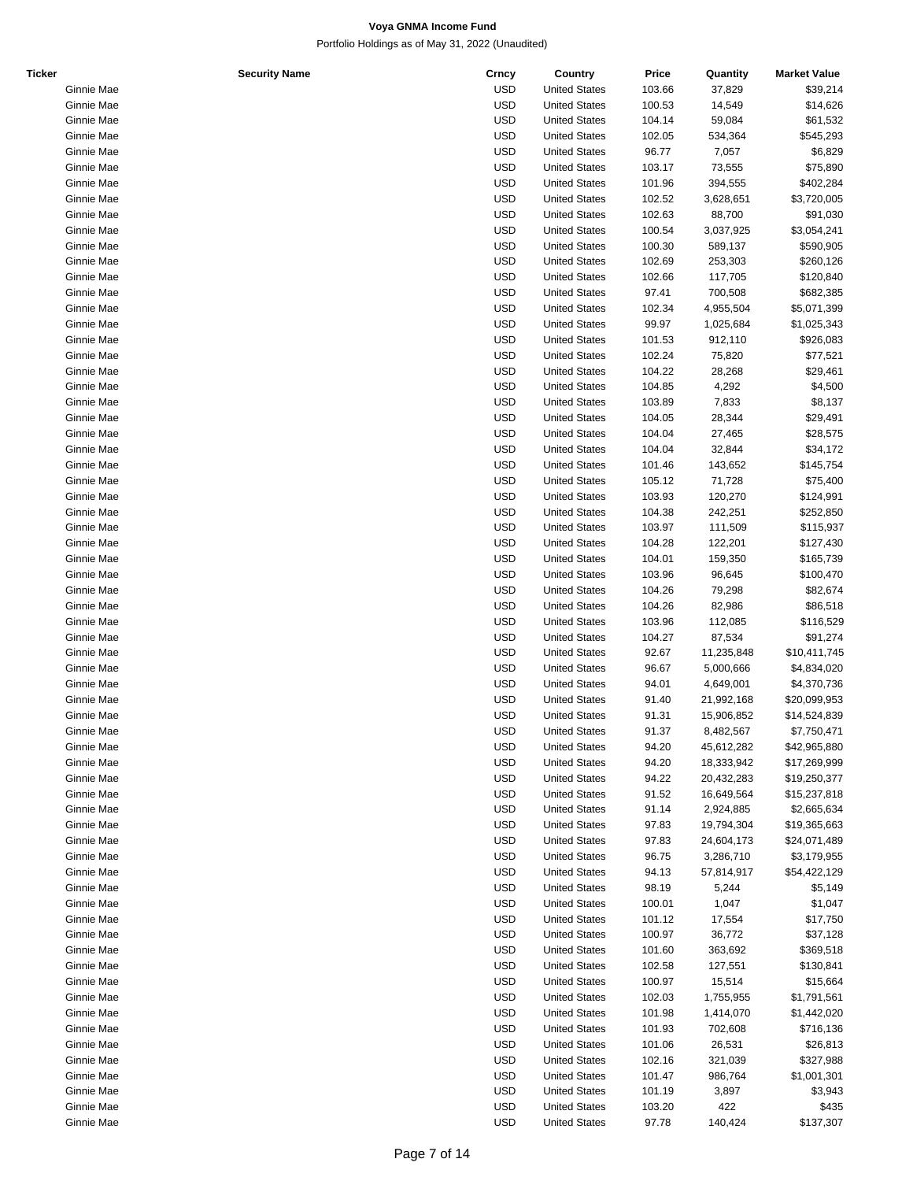| <b>Ticker</b> | <b>Security Name</b> | Crncy      | Country              | Price  | Quantity   | <b>Market Value</b> |
|---------------|----------------------|------------|----------------------|--------|------------|---------------------|
|               | Ginnie Mae           | <b>USD</b> | <b>United States</b> | 103.66 | 37,829     | \$39,214            |
|               | Ginnie Mae           | <b>USD</b> | <b>United States</b> | 100.53 | 14,549     | \$14,626            |
|               | Ginnie Mae           | <b>USD</b> | <b>United States</b> | 104.14 | 59,084     | \$61,532            |
|               | Ginnie Mae           | <b>USD</b> | <b>United States</b> | 102.05 | 534,364    | \$545,293           |
|               | Ginnie Mae           | <b>USD</b> | <b>United States</b> | 96.77  | 7,057      | \$6,829             |
|               | Ginnie Mae           | <b>USD</b> | <b>United States</b> | 103.17 | 73,555     | \$75,890            |
|               | Ginnie Mae           | <b>USD</b> | <b>United States</b> | 101.96 | 394,555    | \$402,284           |
|               | Ginnie Mae           | <b>USD</b> | <b>United States</b> | 102.52 | 3,628,651  | \$3,720,005         |
|               | Ginnie Mae           | <b>USD</b> | <b>United States</b> | 102.63 | 88,700     | \$91,030            |
|               |                      |            |                      |        |            |                     |
|               | Ginnie Mae           | <b>USD</b> | <b>United States</b> | 100.54 | 3,037,925  | \$3,054,241         |
|               | Ginnie Mae           | <b>USD</b> | <b>United States</b> | 100.30 | 589,137    | \$590,905           |
|               | Ginnie Mae           | <b>USD</b> | <b>United States</b> | 102.69 | 253,303    | \$260,126           |
|               | Ginnie Mae           | <b>USD</b> | <b>United States</b> | 102.66 | 117,705    | \$120,840           |
|               | Ginnie Mae           | <b>USD</b> | <b>United States</b> | 97.41  | 700,508    | \$682,385           |
|               | Ginnie Mae           | <b>USD</b> | <b>United States</b> | 102.34 | 4,955,504  | \$5,071,399         |
|               | Ginnie Mae           | <b>USD</b> | <b>United States</b> | 99.97  | 1,025,684  | \$1,025,343         |
|               | Ginnie Mae           | <b>USD</b> | <b>United States</b> | 101.53 | 912,110    | \$926,083           |
|               | Ginnie Mae           | <b>USD</b> | <b>United States</b> | 102.24 | 75,820     | \$77,521            |
|               | Ginnie Mae           | <b>USD</b> | <b>United States</b> | 104.22 | 28,268     | \$29,461            |
|               | Ginnie Mae           | <b>USD</b> | <b>United States</b> | 104.85 | 4,292      | \$4,500             |
|               | Ginnie Mae           | <b>USD</b> | <b>United States</b> | 103.89 | 7,833      | \$8,137             |
|               | Ginnie Mae           | <b>USD</b> | <b>United States</b> | 104.05 | 28,344     | \$29,491            |
|               | Ginnie Mae           | <b>USD</b> | <b>United States</b> | 104.04 | 27,465     | \$28,575            |
|               |                      | <b>USD</b> |                      | 104.04 |            |                     |
|               | Ginnie Mae           |            | <b>United States</b> |        | 32,844     | \$34,172            |
|               | Ginnie Mae           | <b>USD</b> | <b>United States</b> | 101.46 | 143,652    | \$145,754           |
|               | Ginnie Mae           | <b>USD</b> | <b>United States</b> | 105.12 | 71,728     | \$75,400            |
|               | Ginnie Mae           | <b>USD</b> | <b>United States</b> | 103.93 | 120,270    | \$124,991           |
|               | Ginnie Mae           | <b>USD</b> | <b>United States</b> | 104.38 | 242,251    | \$252,850           |
|               | Ginnie Mae           | <b>USD</b> | <b>United States</b> | 103.97 | 111,509    | \$115,937           |
|               | Ginnie Mae           | <b>USD</b> | <b>United States</b> | 104.28 | 122,201    | \$127,430           |
|               | Ginnie Mae           | <b>USD</b> | <b>United States</b> | 104.01 | 159,350    | \$165,739           |
|               | Ginnie Mae           | <b>USD</b> | <b>United States</b> | 103.96 | 96,645     | \$100,470           |
|               | Ginnie Mae           | <b>USD</b> | <b>United States</b> | 104.26 | 79,298     | \$82,674            |
|               | Ginnie Mae           | <b>USD</b> | <b>United States</b> | 104.26 | 82,986     | \$86,518            |
|               | Ginnie Mae           | <b>USD</b> | <b>United States</b> | 103.96 | 112,085    | \$116,529           |
|               | Ginnie Mae           | <b>USD</b> | <b>United States</b> | 104.27 | 87,534     | \$91,274            |
|               |                      |            |                      |        |            |                     |
|               | Ginnie Mae           | <b>USD</b> | <b>United States</b> | 92.67  | 11,235,848 | \$10,411,745        |
|               | Ginnie Mae           | <b>USD</b> | <b>United States</b> | 96.67  | 5,000,666  | \$4,834,020         |
|               | Ginnie Mae           | <b>USD</b> | <b>United States</b> | 94.01  | 4,649,001  | \$4,370,736         |
|               | Ginnie Mae           | <b>USD</b> | <b>United States</b> | 91.40  | 21,992,168 | \$20,099,953        |
|               | Ginnie Mae           | <b>USD</b> | <b>United States</b> | 91.31  | 15,906,852 | \$14,524,839        |
|               | Ginnie Mae           | <b>USD</b> | <b>United States</b> | 91.37  | 8,482,567  | \$7,750,471         |
|               | Ginnie Mae           | <b>USD</b> | <b>United States</b> | 94.20  | 45,612,282 | \$42,965,880        |
|               | Ginnie Mae           | <b>USD</b> | <b>United States</b> | 94.20  | 18,333,942 | \$17,269,999        |
|               | Ginnie Mae           | <b>USD</b> | <b>United States</b> | 94.22  | 20,432,283 | \$19,250,377        |
|               | Ginnie Mae           | <b>USD</b> | <b>United States</b> | 91.52  | 16,649,564 | \$15,237,818        |
|               | Ginnie Mae           | <b>USD</b> | <b>United States</b> | 91.14  | 2,924,885  | \$2,665,634         |
|               | Ginnie Mae           | <b>USD</b> | <b>United States</b> | 97.83  | 19,794,304 | \$19,365,663        |
|               | Ginnie Mae           | <b>USD</b> | <b>United States</b> | 97.83  | 24,604,173 | \$24,071,489        |
|               | Ginnie Mae           | <b>USD</b> | <b>United States</b> | 96.75  | 3,286,710  | \$3,179,955         |
|               |                      |            |                      |        |            |                     |
|               | Ginnie Mae           | <b>USD</b> | <b>United States</b> | 94.13  | 57,814,917 | \$54,422,129        |
|               | Ginnie Mae           | <b>USD</b> | <b>United States</b> | 98.19  | 5,244      | \$5,149             |
|               | Ginnie Mae           | <b>USD</b> | <b>United States</b> | 100.01 | 1,047      | \$1,047             |
|               | Ginnie Mae           | <b>USD</b> | <b>United States</b> | 101.12 | 17,554     | \$17,750            |
|               | Ginnie Mae           | <b>USD</b> | <b>United States</b> | 100.97 | 36,772     | \$37,128            |
|               | Ginnie Mae           | <b>USD</b> | <b>United States</b> | 101.60 | 363,692    | \$369,518           |
|               | Ginnie Mae           | <b>USD</b> | <b>United States</b> | 102.58 | 127,551    | \$130,841           |
|               | Ginnie Mae           | <b>USD</b> | <b>United States</b> | 100.97 | 15,514     | \$15,664            |
|               | Ginnie Mae           | <b>USD</b> | <b>United States</b> | 102.03 | 1,755,955  | \$1,791,561         |
|               | Ginnie Mae           | <b>USD</b> | <b>United States</b> | 101.98 | 1,414,070  | \$1,442,020         |
|               | Ginnie Mae           | <b>USD</b> | <b>United States</b> | 101.93 | 702,608    | \$716,136           |
|               | Ginnie Mae           | <b>USD</b> | <b>United States</b> | 101.06 | 26,531     | \$26,813            |
|               | Ginnie Mae           | <b>USD</b> | <b>United States</b> | 102.16 | 321,039    | \$327,988           |
|               |                      |            |                      |        |            |                     |
|               | Ginnie Mae           | <b>USD</b> | <b>United States</b> | 101.47 | 986,764    | \$1,001,301         |
|               | Ginnie Mae           | <b>USD</b> | <b>United States</b> | 101.19 | 3,897      | \$3,943             |
|               | Ginnie Mae           | <b>USD</b> | <b>United States</b> | 103.20 | 422        | \$435               |
|               | Ginnie Mae           | <b>USD</b> | <b>United States</b> | 97.78  | 140,424    | \$137,307           |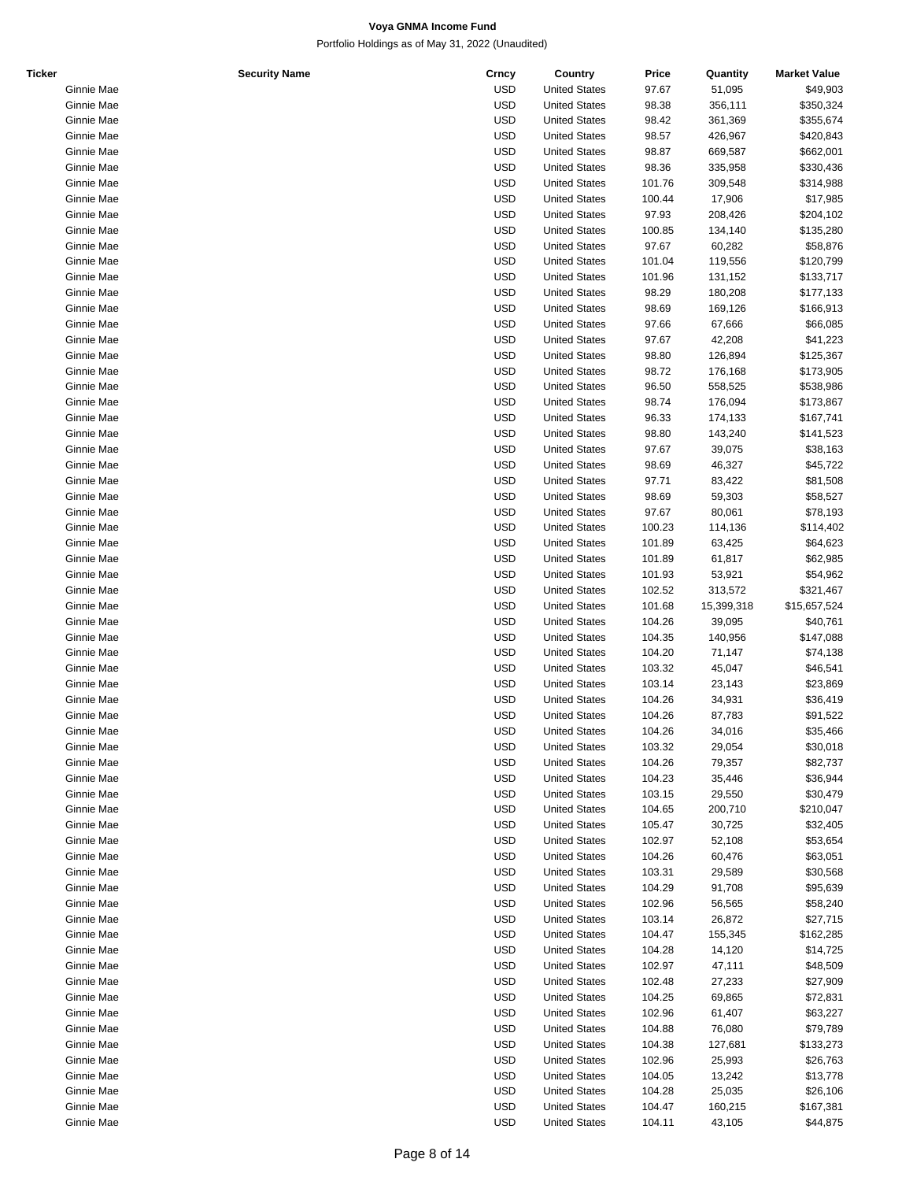| Ticker |            | <b>Security Name</b> | Crncy      | Country              | Price  | Quantity   | <b>Market Value</b> |
|--------|------------|----------------------|------------|----------------------|--------|------------|---------------------|
|        | Ginnie Mae |                      | <b>USD</b> | <b>United States</b> | 97.67  | 51,095     | \$49,903            |
|        | Ginnie Mae |                      | <b>USD</b> | <b>United States</b> | 98.38  | 356,111    | \$350,324           |
|        | Ginnie Mae |                      | <b>USD</b> | <b>United States</b> | 98.42  | 361,369    | \$355,674           |
|        | Ginnie Mae |                      | <b>USD</b> | <b>United States</b> | 98.57  | 426,967    | \$420,843           |
|        | Ginnie Mae |                      | <b>USD</b> | <b>United States</b> | 98.87  | 669,587    | \$662,001           |
|        | Ginnie Mae |                      | <b>USD</b> | <b>United States</b> | 98.36  | 335,958    | \$330,436           |
|        | Ginnie Mae |                      | <b>USD</b> | <b>United States</b> | 101.76 | 309,548    | \$314,988           |
|        | Ginnie Mae |                      | <b>USD</b> | <b>United States</b> | 100.44 | 17,906     | \$17,985            |
|        | Ginnie Mae |                      | <b>USD</b> | <b>United States</b> | 97.93  |            | \$204,102           |
|        | Ginnie Mae |                      |            | <b>United States</b> |        | 208,426    | \$135,280           |
|        |            |                      | <b>USD</b> |                      | 100.85 | 134,140    |                     |
|        | Ginnie Mae |                      | <b>USD</b> | <b>United States</b> | 97.67  | 60,282     | \$58,876            |
|        | Ginnie Mae |                      | <b>USD</b> | <b>United States</b> | 101.04 | 119,556    | \$120,799           |
|        | Ginnie Mae |                      | <b>USD</b> | <b>United States</b> | 101.96 | 131,152    | \$133,717           |
|        | Ginnie Mae |                      | <b>USD</b> | <b>United States</b> | 98.29  | 180,208    | \$177,133           |
|        | Ginnie Mae |                      | <b>USD</b> | <b>United States</b> | 98.69  | 169,126    | \$166,913           |
|        | Ginnie Mae |                      | <b>USD</b> | <b>United States</b> | 97.66  | 67,666     | \$66,085            |
|        | Ginnie Mae |                      | <b>USD</b> | <b>United States</b> | 97.67  | 42,208     | \$41,223            |
|        | Ginnie Mae |                      | <b>USD</b> | <b>United States</b> | 98.80  | 126,894    | \$125,367           |
|        | Ginnie Mae |                      | <b>USD</b> | <b>United States</b> | 98.72  | 176,168    | \$173,905           |
|        | Ginnie Mae |                      | <b>USD</b> | <b>United States</b> | 96.50  | 558,525    | \$538,986           |
|        | Ginnie Mae |                      | <b>USD</b> | <b>United States</b> | 98.74  | 176,094    | \$173,867           |
|        | Ginnie Mae |                      | <b>USD</b> | <b>United States</b> | 96.33  | 174,133    | \$167,741           |
|        | Ginnie Mae |                      | <b>USD</b> | <b>United States</b> | 98.80  | 143,240    | \$141,523           |
|        | Ginnie Mae |                      | <b>USD</b> | <b>United States</b> | 97.67  | 39,075     | \$38,163            |
|        | Ginnie Mae |                      | <b>USD</b> | <b>United States</b> | 98.69  | 46,327     | \$45,722            |
|        | Ginnie Mae |                      | <b>USD</b> | <b>United States</b> | 97.71  |            | \$81,508            |
|        |            |                      |            |                      |        | 83,422     |                     |
|        | Ginnie Mae |                      | <b>USD</b> | <b>United States</b> | 98.69  | 59,303     | \$58,527            |
|        | Ginnie Mae |                      | <b>USD</b> | <b>United States</b> | 97.67  | 80,061     | \$78,193            |
|        | Ginnie Mae |                      | <b>USD</b> | <b>United States</b> | 100.23 | 114,136    | \$114,402           |
|        | Ginnie Mae |                      | <b>USD</b> | <b>United States</b> | 101.89 | 63,425     | \$64,623            |
|        | Ginnie Mae |                      | <b>USD</b> | <b>United States</b> | 101.89 | 61,817     | \$62,985            |
|        | Ginnie Mae |                      | <b>USD</b> | <b>United States</b> | 101.93 | 53,921     | \$54,962            |
|        | Ginnie Mae |                      | <b>USD</b> | <b>United States</b> | 102.52 | 313,572    | \$321,467           |
|        | Ginnie Mae |                      | <b>USD</b> | <b>United States</b> | 101.68 | 15,399,318 | \$15,657,524        |
|        | Ginnie Mae |                      | <b>USD</b> | <b>United States</b> | 104.26 | 39,095     | \$40,761            |
|        | Ginnie Mae |                      | <b>USD</b> | <b>United States</b> | 104.35 | 140,956    | \$147,088           |
|        | Ginnie Mae |                      | <b>USD</b> | <b>United States</b> | 104.20 | 71,147     | \$74,138            |
|        | Ginnie Mae |                      | <b>USD</b> | <b>United States</b> | 103.32 | 45,047     | \$46,541            |
|        | Ginnie Mae |                      | <b>USD</b> | <b>United States</b> | 103.14 | 23,143     | \$23,869            |
|        | Ginnie Mae |                      | <b>USD</b> | <b>United States</b> | 104.26 | 34,931     | \$36,419            |
|        | Ginnie Mae |                      | <b>USD</b> | <b>United States</b> | 104.26 | 87,783     | \$91,522            |
|        | Ginnie Mae |                      | <b>USD</b> | <b>United States</b> | 104.26 | 34,016     | \$35,466            |
|        | Ginnie Mae |                      | <b>USD</b> | <b>United States</b> | 103.32 | 29,054     | \$30,018            |
|        | Ginnie Mae |                      | <b>USD</b> | <b>United States</b> | 104.26 | 79,357     | \$82,737            |
|        |            |                      |            | <b>United States</b> |        |            |                     |
|        | Ginnie Mae |                      | <b>USD</b> |                      | 104.23 | 35,446     | \$36,944            |
|        | Ginnie Mae |                      | <b>USD</b> | <b>United States</b> | 103.15 | 29,550     | \$30,479            |
|        | Ginnie Mae |                      | <b>USD</b> | <b>United States</b> | 104.65 | 200,710    | \$210,047           |
|        | Ginnie Mae |                      | <b>USD</b> | <b>United States</b> | 105.47 | 30,725     | \$32,405            |
|        | Ginnie Mae |                      | <b>USD</b> | <b>United States</b> | 102.97 | 52,108     | \$53,654            |
|        | Ginnie Mae |                      | <b>USD</b> | <b>United States</b> | 104.26 | 60,476     | \$63,051            |
|        | Ginnie Mae |                      | <b>USD</b> | <b>United States</b> | 103.31 | 29,589     | \$30,568            |
|        | Ginnie Mae |                      | <b>USD</b> | <b>United States</b> | 104.29 | 91,708     | \$95,639            |
|        | Ginnie Mae |                      | <b>USD</b> | <b>United States</b> | 102.96 | 56,565     | \$58,240            |
|        | Ginnie Mae |                      | <b>USD</b> | <b>United States</b> | 103.14 | 26,872     | \$27,715            |
|        | Ginnie Mae |                      | <b>USD</b> | <b>United States</b> | 104.47 | 155,345    | \$162,285           |
|        | Ginnie Mae |                      | <b>USD</b> | <b>United States</b> | 104.28 | 14,120     | \$14,725            |
|        | Ginnie Mae |                      | <b>USD</b> | <b>United States</b> | 102.97 | 47,111     | \$48,509            |
|        | Ginnie Mae |                      | <b>USD</b> | <b>United States</b> | 102.48 | 27,233     | \$27,909            |
|        | Ginnie Mae |                      | <b>USD</b> | <b>United States</b> | 104.25 | 69,865     | \$72,831            |
|        |            |                      | <b>USD</b> |                      | 102.96 |            |                     |
|        | Ginnie Mae |                      |            | <b>United States</b> |        | 61,407     | \$63,227            |
|        | Ginnie Mae |                      | <b>USD</b> | <b>United States</b> | 104.88 | 76,080     | \$79,789            |
|        | Ginnie Mae |                      | <b>USD</b> | <b>United States</b> | 104.38 | 127,681    | \$133,273           |
|        | Ginnie Mae |                      | <b>USD</b> | <b>United States</b> | 102.96 | 25,993     | \$26,763            |
|        | Ginnie Mae |                      | <b>USD</b> | <b>United States</b> | 104.05 | 13,242     | \$13,778            |
|        | Ginnie Mae |                      | <b>USD</b> | <b>United States</b> | 104.28 | 25,035     | \$26,106            |
|        | Ginnie Mae |                      | <b>USD</b> | <b>United States</b> | 104.47 | 160,215    | \$167,381           |
|        | Ginnie Mae |                      | <b>USD</b> | <b>United States</b> | 104.11 | 43,105     | \$44,875            |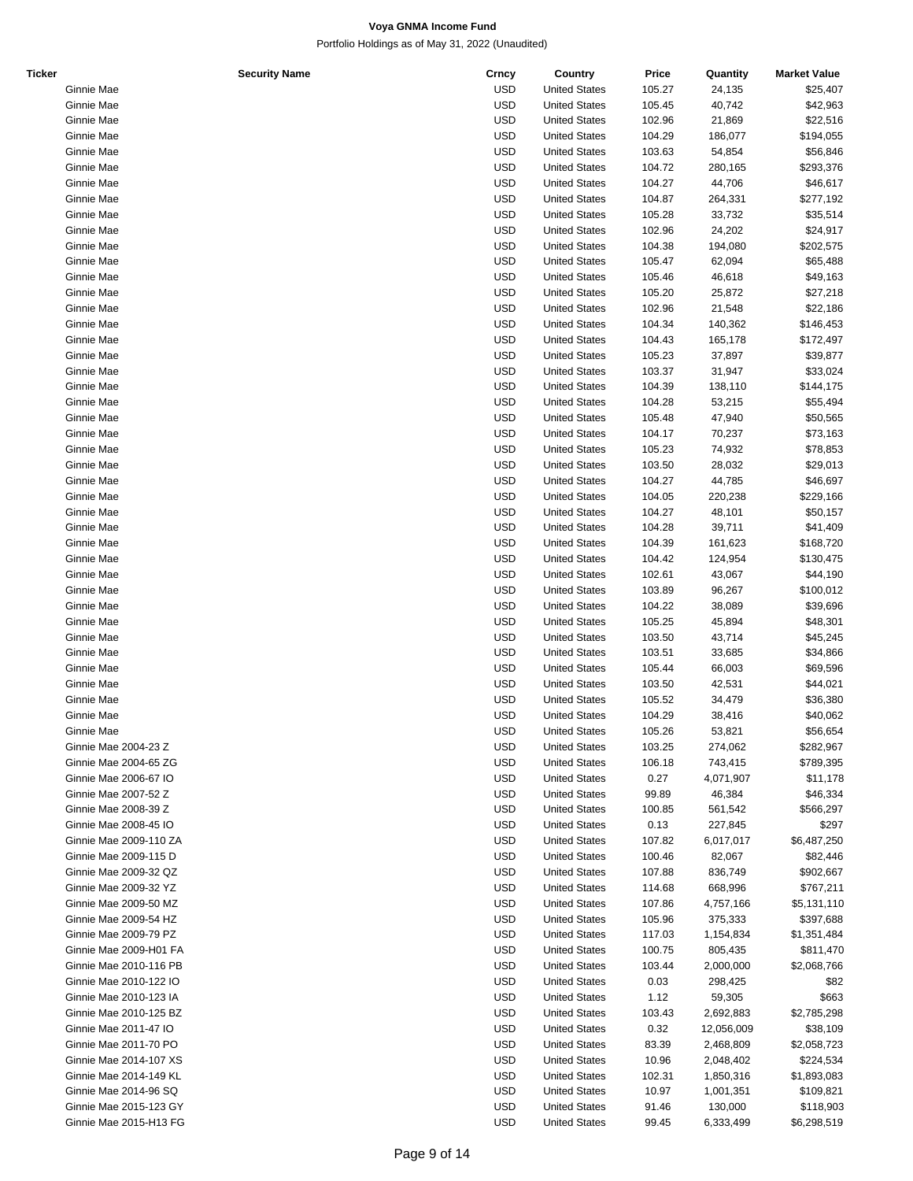| Ticker |                        | <b>Security Name</b> | Crncy      | Country              | Price  | Quantity   | <b>Market Value</b> |
|--------|------------------------|----------------------|------------|----------------------|--------|------------|---------------------|
|        | Ginnie Mae             |                      | <b>USD</b> | <b>United States</b> | 105.27 | 24,135     | \$25,407            |
|        | Ginnie Mae             |                      | <b>USD</b> | <b>United States</b> | 105.45 | 40,742     | \$42,963            |
|        | Ginnie Mae             |                      | <b>USD</b> | <b>United States</b> | 102.96 | 21,869     | \$22,516            |
|        | Ginnie Mae             |                      | <b>USD</b> | <b>United States</b> | 104.29 | 186,077    | \$194,055           |
|        | Ginnie Mae             |                      | <b>USD</b> | <b>United States</b> | 103.63 | 54,854     | \$56,846            |
|        | Ginnie Mae             |                      | <b>USD</b> | <b>United States</b> | 104.72 |            |                     |
|        |                        |                      |            |                      |        | 280,165    | \$293,376           |
|        | Ginnie Mae             |                      | <b>USD</b> | <b>United States</b> | 104.27 | 44,706     | \$46,617            |
|        | Ginnie Mae             |                      | <b>USD</b> | <b>United States</b> | 104.87 | 264,331    | \$277,192           |
|        | Ginnie Mae             |                      | <b>USD</b> | <b>United States</b> | 105.28 | 33,732     | \$35,514            |
|        | Ginnie Mae             |                      | <b>USD</b> | <b>United States</b> | 102.96 | 24,202     | \$24,917            |
|        | Ginnie Mae             |                      | <b>USD</b> | <b>United States</b> | 104.38 | 194,080    | \$202,575           |
|        | Ginnie Mae             |                      | <b>USD</b> | <b>United States</b> | 105.47 | 62,094     | \$65,488            |
|        | Ginnie Mae             |                      | <b>USD</b> | <b>United States</b> | 105.46 | 46,618     | \$49,163            |
|        | Ginnie Mae             |                      | <b>USD</b> | <b>United States</b> | 105.20 | 25,872     | \$27,218            |
|        | Ginnie Mae             |                      | <b>USD</b> | <b>United States</b> | 102.96 | 21,548     | \$22,186            |
|        | Ginnie Mae             |                      | <b>USD</b> | <b>United States</b> | 104.34 | 140,362    | \$146,453           |
|        |                        |                      | <b>USD</b> |                      |        |            |                     |
|        | Ginnie Mae             |                      |            | <b>United States</b> | 104.43 | 165,178    | \$172,497           |
|        | Ginnie Mae             |                      | <b>USD</b> | <b>United States</b> | 105.23 | 37,897     | \$39,877            |
|        | Ginnie Mae             |                      | <b>USD</b> | <b>United States</b> | 103.37 | 31,947     | \$33,024            |
|        | Ginnie Mae             |                      | <b>USD</b> | <b>United States</b> | 104.39 | 138,110    | \$144,175           |
|        | Ginnie Mae             |                      | <b>USD</b> | <b>United States</b> | 104.28 | 53,215     | \$55,494            |
|        | Ginnie Mae             |                      | <b>USD</b> | <b>United States</b> | 105.48 | 47,940     | \$50,565            |
|        | Ginnie Mae             |                      | <b>USD</b> | <b>United States</b> | 104.17 | 70,237     | \$73,163            |
|        | Ginnie Mae             |                      | <b>USD</b> | <b>United States</b> | 105.23 | 74,932     | \$78,853            |
|        | Ginnie Mae             |                      | <b>USD</b> | <b>United States</b> | 103.50 | 28,032     | \$29,013            |
|        | Ginnie Mae             |                      | <b>USD</b> | <b>United States</b> | 104.27 | 44,785     | \$46,697            |
|        | Ginnie Mae             |                      | <b>USD</b> | <b>United States</b> | 104.05 | 220,238    | \$229,166           |
|        | Ginnie Mae             |                      | <b>USD</b> |                      | 104.27 |            | \$50,157            |
|        |                        |                      |            | <b>United States</b> |        | 48,101     |                     |
|        | Ginnie Mae             |                      | <b>USD</b> | <b>United States</b> | 104.28 | 39,711     | \$41,409            |
|        | Ginnie Mae             |                      | <b>USD</b> | <b>United States</b> | 104.39 | 161,623    | \$168,720           |
|        | Ginnie Mae             |                      | <b>USD</b> | <b>United States</b> | 104.42 | 124,954    | \$130,475           |
|        | Ginnie Mae             |                      | <b>USD</b> | <b>United States</b> | 102.61 | 43,067     | \$44,190            |
|        | Ginnie Mae             |                      | <b>USD</b> | <b>United States</b> | 103.89 | 96,267     | \$100,012           |
|        | Ginnie Mae             |                      | <b>USD</b> | <b>United States</b> | 104.22 | 38,089     | \$39,696            |
|        | Ginnie Mae             |                      | <b>USD</b> | <b>United States</b> | 105.25 | 45,894     | \$48,301            |
|        | Ginnie Mae             |                      | <b>USD</b> | <b>United States</b> | 103.50 | 43,714     | \$45,245            |
|        | Ginnie Mae             |                      | <b>USD</b> | <b>United States</b> | 103.51 | 33,685     | \$34,866            |
|        | Ginnie Mae             |                      | <b>USD</b> | <b>United States</b> | 105.44 | 66,003     | \$69,596            |
|        | Ginnie Mae             |                      | <b>USD</b> | <b>United States</b> | 103.50 | 42,531     | \$44,021            |
|        | Ginnie Mae             |                      | <b>USD</b> | <b>United States</b> |        |            |                     |
|        |                        |                      |            |                      | 105.52 | 34,479     | \$36,380            |
|        | Ginnie Mae             |                      | <b>USD</b> | <b>United States</b> | 104.29 | 38,416     | \$40,062            |
|        | Ginnie Mae             |                      | <b>USD</b> | <b>United States</b> | 105.26 | 53,821     | \$56,654            |
|        | Ginnie Mae 2004-23 Z   |                      | <b>USD</b> | <b>United States</b> | 103.25 | 274,062    | \$282,967           |
|        | Ginnie Mae 2004-65 ZG  |                      | <b>USD</b> | <b>United States</b> | 106.18 | 743,415    | \$789,395           |
|        | Ginnie Mae 2006-67 IO  |                      | <b>USD</b> | <b>United States</b> | 0.27   | 4,071,907  | \$11,178            |
|        | Ginnie Mae 2007-52 Z   |                      | <b>USD</b> | <b>United States</b> | 99.89  | 46,384     | \$46,334            |
|        | Ginnie Mae 2008-39 Z   |                      | <b>USD</b> | <b>United States</b> | 100.85 | 561,542    | \$566,297           |
|        | Ginnie Mae 2008-45 IO  |                      | <b>USD</b> | <b>United States</b> | 0.13   | 227,845    | \$297               |
|        | Ginnie Mae 2009-110 ZA |                      | <b>USD</b> | <b>United States</b> | 107.82 | 6,017,017  | \$6,487,250         |
|        | Ginnie Mae 2009-115 D  |                      | <b>USD</b> | <b>United States</b> | 100.46 | 82,067     | \$82,446            |
|        | Ginnie Mae 2009-32 QZ  |                      | <b>USD</b> | <b>United States</b> | 107.88 | 836,749    | \$902,667           |
|        |                        |                      | <b>USD</b> |                      |        |            |                     |
|        | Ginnie Mae 2009-32 YZ  |                      |            | <b>United States</b> | 114.68 | 668,996    | \$767,211           |
|        | Ginnie Mae 2009-50 MZ  |                      | <b>USD</b> | <b>United States</b> | 107.86 | 4,757,166  | \$5,131,110         |
|        | Ginnie Mae 2009-54 HZ  |                      | <b>USD</b> | <b>United States</b> | 105.96 | 375,333    | \$397,688           |
|        | Ginnie Mae 2009-79 PZ  |                      | <b>USD</b> | <b>United States</b> | 117.03 | 1,154,834  | \$1,351,484         |
|        | Ginnie Mae 2009-H01 FA |                      | <b>USD</b> | <b>United States</b> | 100.75 | 805,435    | \$811,470           |
|        | Ginnie Mae 2010-116 PB |                      | <b>USD</b> | <b>United States</b> | 103.44 | 2,000,000  | \$2,068,766         |
|        | Ginnie Mae 2010-122 IO |                      | <b>USD</b> | <b>United States</b> | 0.03   | 298,425    | \$82                |
|        | Ginnie Mae 2010-123 IA |                      | <b>USD</b> | <b>United States</b> | 1.12   | 59,305     | \$663               |
|        | Ginnie Mae 2010-125 BZ |                      | <b>USD</b> | <b>United States</b> | 103.43 | 2,692,883  | \$2,785,298         |
|        | Ginnie Mae 2011-47 IO  |                      | <b>USD</b> | <b>United States</b> | 0.32   | 12,056,009 | \$38,109            |
|        | Ginnie Mae 2011-70 PO  |                      | <b>USD</b> | <b>United States</b> | 83.39  | 2,468,809  | \$2,058,723         |
|        | Ginnie Mae 2014-107 XS |                      | <b>USD</b> | <b>United States</b> | 10.96  | 2,048,402  | \$224,534           |
|        |                        |                      | <b>USD</b> |                      |        |            |                     |
|        | Ginnie Mae 2014-149 KL |                      |            | <b>United States</b> | 102.31 | 1,850,316  | \$1,893,083         |
|        | Ginnie Mae 2014-96 SQ  |                      | <b>USD</b> | <b>United States</b> | 10.97  | 1,001,351  | \$109,821           |
|        | Ginnie Mae 2015-123 GY |                      | <b>USD</b> | <b>United States</b> | 91.46  | 130,000    | \$118,903           |
|        | Ginnie Mae 2015-H13 FG |                      | <b>USD</b> | <b>United States</b> | 99.45  | 6,333,499  | \$6,298,519         |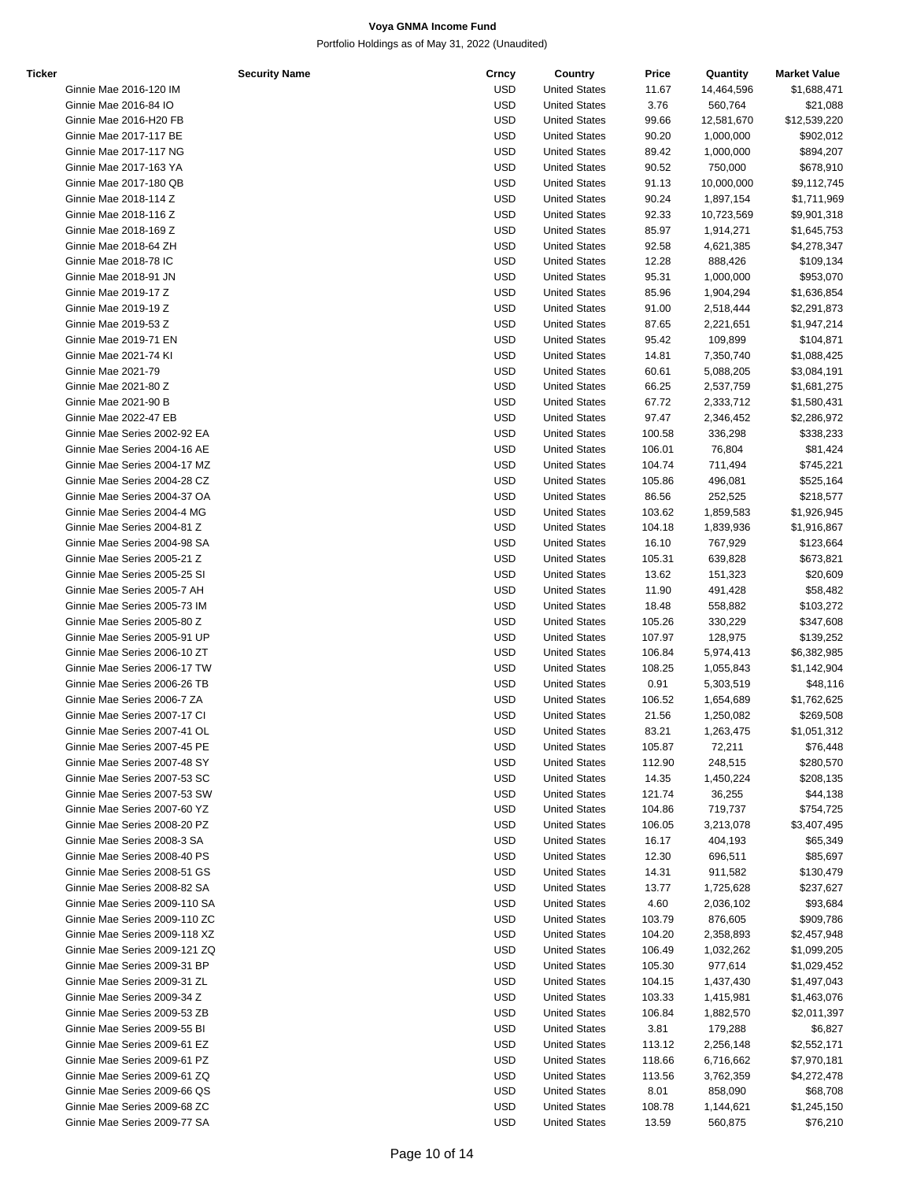Portfolio Holdings as of May 31, 2022 (Unaudited)

| Ticker |                               | <b>Security Name</b> | Crncy      | Country              | Price  | Quantity          | <b>Market Value</b> |
|--------|-------------------------------|----------------------|------------|----------------------|--------|-------------------|---------------------|
|        | Ginnie Mae 2016-120 IM        |                      | <b>USD</b> | <b>United States</b> | 11.67  | 14,464,596        | \$1,688,471         |
|        | Ginnie Mae 2016-84 IO         |                      | <b>USD</b> | <b>United States</b> | 3.76   | 560,764           | \$21,088            |
|        | Ginnie Mae 2016-H20 FB        |                      | <b>USD</b> | <b>United States</b> | 99.66  | 12,581,670        | \$12,539,220        |
|        | Ginnie Mae 2017-117 BE        |                      | <b>USD</b> | <b>United States</b> | 90.20  | 1,000,000         | \$902,012           |
|        | <b>Ginnie Mae 2017-117 NG</b> |                      | <b>USD</b> | <b>United States</b> | 89.42  | 1,000,000         | \$894,207           |
|        | Ginnie Mae 2017-163 YA        |                      | <b>USD</b> | <b>United States</b> | 90.52  | 750,000           | \$678,910           |
|        | Ginnie Mae 2017-180 QB        |                      | <b>USD</b> | <b>United States</b> | 91.13  | 10,000,000        | \$9,112,745         |
|        | Ginnie Mae 2018-114 Z         |                      | <b>USD</b> | <b>United States</b> | 90.24  | 1,897,154         | \$1,711,969         |
|        | Ginnie Mae 2018-116 Z         |                      | <b>USD</b> | <b>United States</b> | 92.33  | 10,723,569        | \$9,901,318         |
|        | Ginnie Mae 2018-169 Z         |                      | <b>USD</b> | <b>United States</b> | 85.97  | 1,914,271         | \$1,645,753         |
|        | Ginnie Mae 2018-64 ZH         |                      | <b>USD</b> | <b>United States</b> | 92.58  | 4,621,385         | \$4,278,347         |
|        | Ginnie Mae 2018-78 IC         |                      | <b>USD</b> | <b>United States</b> | 12.28  | 888,426           | \$109,134           |
|        | Ginnie Mae 2018-91 JN         |                      | <b>USD</b> | <b>United States</b> | 95.31  | 1,000,000         | \$953,070           |
|        | Ginnie Mae 2019-17 Z          |                      | <b>USD</b> | <b>United States</b> | 85.96  | 1,904,294         | \$1,636,854         |
|        | Ginnie Mae 2019-19 Z          |                      | <b>USD</b> | <b>United States</b> | 91.00  | 2,518,444         | \$2,291,873         |
|        | Ginnie Mae 2019-53 Z          |                      | <b>USD</b> | <b>United States</b> | 87.65  | 2,221,651         | \$1,947,214         |
|        | Ginnie Mae 2019-71 EN         |                      | <b>USD</b> | <b>United States</b> |        | 109,899           |                     |
|        |                               |                      | <b>USD</b> |                      | 95.42  |                   | \$104,871           |
|        | Ginnie Mae 2021-74 KI         |                      |            | <b>United States</b> | 14.81  | 7,350,740         | \$1,088,425         |
|        | <b>Ginnie Mae 2021-79</b>     |                      | <b>USD</b> | <b>United States</b> | 60.61  | 5,088,205         | \$3,084,191         |
|        | Ginnie Mae 2021-80 Z          |                      | <b>USD</b> | <b>United States</b> | 66.25  | 2,537,759         | \$1,681,275         |
|        | Ginnie Mae 2021-90 B          |                      | <b>USD</b> | <b>United States</b> | 67.72  | 2,333,712         | \$1,580,431         |
|        | Ginnie Mae 2022-47 EB         |                      | <b>USD</b> | <b>United States</b> | 97.47  | 2,346,452         | \$2,286,972         |
|        | Ginnie Mae Series 2002-92 EA  |                      | <b>USD</b> | <b>United States</b> | 100.58 | 336,298           | \$338,233           |
|        | Ginnie Mae Series 2004-16 AE  |                      | <b>USD</b> | <b>United States</b> | 106.01 | 76,804            | \$81,424            |
|        | Ginnie Mae Series 2004-17 MZ  |                      | <b>USD</b> | <b>United States</b> | 104.74 | 711,494           | \$745,221           |
|        | Ginnie Mae Series 2004-28 CZ  |                      | <b>USD</b> | <b>United States</b> | 105.86 | 496,081           | \$525,164           |
|        | Ginnie Mae Series 2004-37 OA  |                      | <b>USD</b> | <b>United States</b> | 86.56  | 252,525           | \$218,577           |
|        | Ginnie Mae Series 2004-4 MG   |                      | <b>USD</b> | <b>United States</b> | 103.62 | 1,859,583         | \$1,926,945         |
|        | Ginnie Mae Series 2004-81 Z   |                      | <b>USD</b> | <b>United States</b> | 104.18 | 1,839,936         | \$1,916,867         |
|        | Ginnie Mae Series 2004-98 SA  |                      | <b>USD</b> | <b>United States</b> | 16.10  | 767,929           | \$123,664           |
|        | Ginnie Mae Series 2005-21 Z   |                      | <b>USD</b> | <b>United States</b> | 105.31 | 639,828           | \$673,821           |
|        | Ginnie Mae Series 2005-25 SI  |                      | <b>USD</b> | <b>United States</b> | 13.62  | 151,323           | \$20,609            |
|        | Ginnie Mae Series 2005-7 AH   |                      | <b>USD</b> | <b>United States</b> | 11.90  | 491,428           | \$58,482            |
|        | Ginnie Mae Series 2005-73 IM  |                      | <b>USD</b> | <b>United States</b> | 18.48  | 558,882           | \$103,272           |
|        | Ginnie Mae Series 2005-80 Z   |                      | <b>USD</b> | <b>United States</b> | 105.26 | 330,229           | \$347,608           |
|        | Ginnie Mae Series 2005-91 UP  |                      | <b>USD</b> | <b>United States</b> | 107.97 | 128,975           | \$139,252           |
|        | Ginnie Mae Series 2006-10 ZT  |                      | <b>USD</b> | <b>United States</b> | 106.84 | 5,974,413         | \$6,382,985         |
|        | Ginnie Mae Series 2006-17 TW  |                      | <b>USD</b> | <b>United States</b> | 108.25 | 1,055,843         | \$1,142,904         |
|        | Ginnie Mae Series 2006-26 TB  |                      | <b>USD</b> | <b>United States</b> | 0.91   | 5,303,519         | \$48,116            |
|        | Ginnie Mae Series 2006-7 ZA   |                      | <b>USD</b> | <b>United States</b> | 106.52 | 1,654,689         | \$1,762,625         |
|        | Ginnie Mae Series 2007-17 CI  |                      | <b>USD</b> | <b>United States</b> | 21.56  | 1,250,082         | \$269,508           |
|        | Ginnie Mae Series 2007-41 OL  |                      | <b>USD</b> | <b>United States</b> | 83.21  | 1,263,475         | \$1,051,312         |
|        |                               |                      | <b>USD</b> | <b>United States</b> |        |                   |                     |
|        | Ginnie Mae Series 2007-45 PE  |                      |            |                      | 105.87 | 72,211<br>248,515 | \$76,448            |
|        | Ginnie Mae Series 2007-48 SY  |                      | <b>USD</b> | <b>United States</b> | 112.90 |                   | \$280,570           |
|        | Ginnie Mae Series 2007-53 SC  |                      | <b>USD</b> | <b>United States</b> | 14.35  | 1,450,224         | \$208,135           |
|        | Ginnie Mae Series 2007-53 SW  |                      | <b>USD</b> | <b>United States</b> | 121.74 | 36,255            | \$44,138            |
|        | Ginnie Mae Series 2007-60 YZ  |                      | <b>USD</b> | <b>United States</b> | 104.86 | 719,737           | \$754,725           |
|        | Ginnie Mae Series 2008-20 PZ  |                      | <b>USD</b> | <b>United States</b> | 106.05 | 3,213,078         | \$3,407,495         |
|        | Ginnie Mae Series 2008-3 SA   |                      | <b>USD</b> | <b>United States</b> | 16.17  | 404,193           | \$65,349            |
|        | Ginnie Mae Series 2008-40 PS  |                      | <b>USD</b> | <b>United States</b> | 12.30  | 696,511           | \$85,697            |
|        | Ginnie Mae Series 2008-51 GS  |                      | <b>USD</b> | <b>United States</b> | 14.31  | 911,582           | \$130,479           |
|        | Ginnie Mae Series 2008-82 SA  |                      | <b>USD</b> | <b>United States</b> | 13.77  | 1,725,628         | \$237,627           |
|        | Ginnie Mae Series 2009-110 SA |                      | <b>USD</b> | <b>United States</b> | 4.60   | 2,036,102         | \$93,684            |
|        | Ginnie Mae Series 2009-110 ZC |                      | <b>USD</b> | <b>United States</b> | 103.79 | 876,605           | \$909,786           |
|        | Ginnie Mae Series 2009-118 XZ |                      | <b>USD</b> | <b>United States</b> | 104.20 | 2,358,893         | \$2,457,948         |
|        | Ginnie Mae Series 2009-121 ZQ |                      | <b>USD</b> | <b>United States</b> | 106.49 | 1,032,262         | \$1,099,205         |
|        | Ginnie Mae Series 2009-31 BP  |                      | <b>USD</b> | <b>United States</b> | 105.30 | 977,614           | \$1,029,452         |
|        | Ginnie Mae Series 2009-31 ZL  |                      | <b>USD</b> | <b>United States</b> | 104.15 | 1,437,430         | \$1,497,043         |
|        | Ginnie Mae Series 2009-34 Z   |                      | <b>USD</b> | <b>United States</b> | 103.33 | 1,415,981         | \$1,463,076         |
|        | Ginnie Mae Series 2009-53 ZB  |                      | <b>USD</b> | <b>United States</b> | 106.84 | 1,882,570         | \$2,011,397         |
|        | Ginnie Mae Series 2009-55 BI  |                      | <b>USD</b> | <b>United States</b> | 3.81   | 179,288           | \$6,827             |
|        | Ginnie Mae Series 2009-61 EZ  |                      | <b>USD</b> | <b>United States</b> | 113.12 | 2,256,148         | \$2,552,171         |
|        | Ginnie Mae Series 2009-61 PZ  |                      | <b>USD</b> | <b>United States</b> | 118.66 | 6,716,662         | \$7,970,181         |
|        | Ginnie Mae Series 2009-61 ZQ  |                      | <b>USD</b> | <b>United States</b> | 113.56 | 3,762,359         | \$4,272,478         |
|        | Ginnie Mae Series 2009-66 QS  |                      | <b>USD</b> | <b>United States</b> | 8.01   | 858,090           | \$68,708            |
|        | Ginnie Mae Series 2009-68 ZC  |                      | <b>USD</b> | <b>United States</b> | 108.78 | 1,144,621         | \$1,245,150         |
|        |                               |                      |            |                      |        |                   |                     |

Ginnie Mae Series 2009-77 SA 660,875 576,210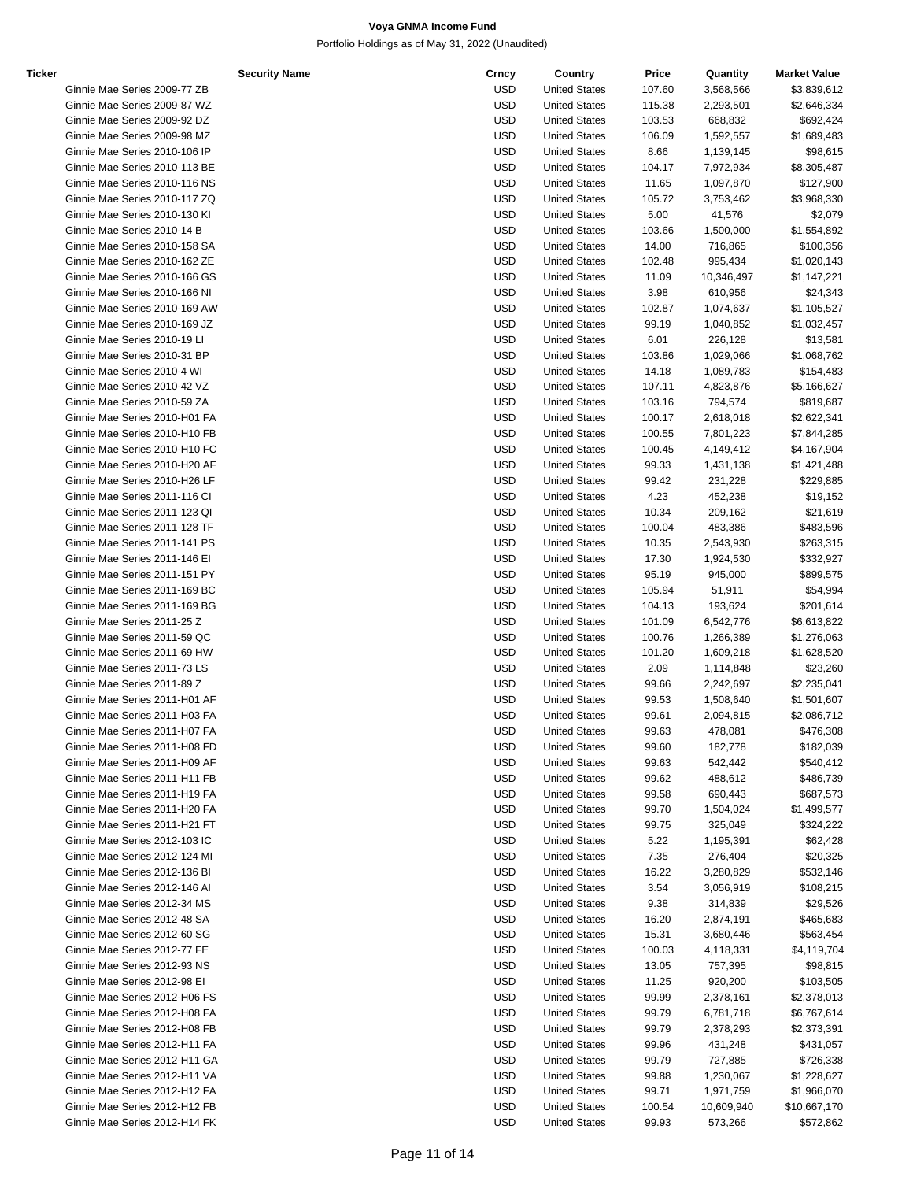| Ticker |                               | <b>Security Name</b> | Crncy      | Country              | Price  | Quantity   | <b>Market Value</b> |
|--------|-------------------------------|----------------------|------------|----------------------|--------|------------|---------------------|
|        | Ginnie Mae Series 2009-77 ZB  |                      | <b>USD</b> | <b>United States</b> | 107.60 | 3,568,566  | \$3,839,612         |
|        | Ginnie Mae Series 2009-87 WZ  |                      | <b>USD</b> | <b>United States</b> | 115.38 | 2,293,501  | \$2,646,334         |
|        | Ginnie Mae Series 2009-92 DZ  |                      | <b>USD</b> | <b>United States</b> | 103.53 | 668,832    | \$692,424           |
|        | Ginnie Mae Series 2009-98 MZ  |                      | <b>USD</b> | <b>United States</b> | 106.09 | 1,592,557  | \$1,689,483         |
|        | Ginnie Mae Series 2010-106 IP |                      | <b>USD</b> | <b>United States</b> | 8.66   | 1,139,145  | \$98,615            |
|        | Ginnie Mae Series 2010-113 BE |                      | <b>USD</b> | <b>United States</b> | 104.17 | 7,972,934  | \$8,305,487         |
|        | Ginnie Mae Series 2010-116 NS |                      | <b>USD</b> | <b>United States</b> | 11.65  | 1,097,870  | \$127,900           |
|        |                               |                      |            |                      |        |            |                     |
|        | Ginnie Mae Series 2010-117 ZQ |                      | <b>USD</b> | <b>United States</b> | 105.72 | 3,753,462  | \$3,968,330         |
|        | Ginnie Mae Series 2010-130 KI |                      | <b>USD</b> | <b>United States</b> | 5.00   | 41,576     | \$2,079             |
|        | Ginnie Mae Series 2010-14 B   |                      | <b>USD</b> | <b>United States</b> | 103.66 | 1,500,000  | \$1,554,892         |
|        | Ginnie Mae Series 2010-158 SA |                      | <b>USD</b> | <b>United States</b> | 14.00  | 716,865    | \$100,356           |
|        | Ginnie Mae Series 2010-162 ZE |                      | <b>USD</b> | <b>United States</b> | 102.48 | 995,434    | \$1,020,143         |
|        | Ginnie Mae Series 2010-166 GS |                      | <b>USD</b> | <b>United States</b> | 11.09  | 10,346,497 | \$1,147,221         |
|        | Ginnie Mae Series 2010-166 NI |                      | <b>USD</b> | <b>United States</b> | 3.98   | 610,956    | \$24,343            |
|        | Ginnie Mae Series 2010-169 AW |                      | <b>USD</b> | <b>United States</b> | 102.87 | 1,074,637  | \$1,105,527         |
|        | Ginnie Mae Series 2010-169 JZ |                      | <b>USD</b> | <b>United States</b> | 99.19  | 1,040,852  | \$1,032,457         |
|        | Ginnie Mae Series 2010-19 LI  |                      | <b>USD</b> | <b>United States</b> | 6.01   | 226,128    | \$13,581            |
|        | Ginnie Mae Series 2010-31 BP  |                      | <b>USD</b> | <b>United States</b> | 103.86 | 1,029,066  | \$1,068,762         |
|        | Ginnie Mae Series 2010-4 WI   |                      | <b>USD</b> | <b>United States</b> | 14.18  | 1,089,783  | \$154,483           |
|        | Ginnie Mae Series 2010-42 VZ  |                      | <b>USD</b> | <b>United States</b> | 107.11 | 4,823,876  | \$5,166,627         |
|        | Ginnie Mae Series 2010-59 ZA  |                      | <b>USD</b> | <b>United States</b> | 103.16 | 794,574    | \$819,687           |
|        | Ginnie Mae Series 2010-H01 FA |                      | <b>USD</b> | <b>United States</b> | 100.17 | 2,618,018  | \$2,622,341         |
|        | Ginnie Mae Series 2010-H10 FB |                      | <b>USD</b> | <b>United States</b> | 100.55 | 7,801,223  |                     |
|        | Ginnie Mae Series 2010-H10 FC |                      |            | <b>United States</b> |        |            | \$7,844,285         |
|        |                               |                      | <b>USD</b> |                      | 100.45 | 4,149,412  | \$4,167,904         |
|        | Ginnie Mae Series 2010-H20 AF |                      | <b>USD</b> | <b>United States</b> | 99.33  | 1,431,138  | \$1,421,488         |
|        | Ginnie Mae Series 2010-H26 LF |                      | <b>USD</b> | <b>United States</b> | 99.42  | 231,228    | \$229,885           |
|        | Ginnie Mae Series 2011-116 CI |                      | <b>USD</b> | <b>United States</b> | 4.23   | 452,238    | \$19,152            |
|        | Ginnie Mae Series 2011-123 QI |                      | <b>USD</b> | <b>United States</b> | 10.34  | 209,162    | \$21,619            |
|        | Ginnie Mae Series 2011-128 TF |                      | <b>USD</b> | <b>United States</b> | 100.04 | 483,386    | \$483,596           |
|        | Ginnie Mae Series 2011-141 PS |                      | <b>USD</b> | <b>United States</b> | 10.35  | 2,543,930  | \$263,315           |
|        | Ginnie Mae Series 2011-146 El |                      | <b>USD</b> | <b>United States</b> | 17.30  | 1,924,530  | \$332,927           |
|        | Ginnie Mae Series 2011-151 PY |                      | <b>USD</b> | <b>United States</b> | 95.19  | 945,000    | \$899,575           |
|        | Ginnie Mae Series 2011-169 BC |                      | <b>USD</b> | <b>United States</b> | 105.94 | 51,911     | \$54,994            |
|        | Ginnie Mae Series 2011-169 BG |                      | <b>USD</b> | <b>United States</b> | 104.13 | 193,624    | \$201,614           |
|        | Ginnie Mae Series 2011-25 Z   |                      | <b>USD</b> | <b>United States</b> | 101.09 | 6,542,776  | \$6,613,822         |
|        | Ginnie Mae Series 2011-59 QC  |                      | <b>USD</b> | <b>United States</b> | 100.76 | 1,266,389  | \$1,276,063         |
|        | Ginnie Mae Series 2011-69 HW  |                      | <b>USD</b> | <b>United States</b> | 101.20 | 1,609,218  | \$1,628,520         |
|        | Ginnie Mae Series 2011-73 LS  |                      | <b>USD</b> | <b>United States</b> | 2.09   | 1,114,848  | \$23,260            |
|        | Ginnie Mae Series 2011-89 Z   |                      | <b>USD</b> | <b>United States</b> | 99.66  | 2,242,697  | \$2,235,041         |
|        | Ginnie Mae Series 2011-H01 AF |                      | <b>USD</b> | <b>United States</b> | 99.53  | 1,508,640  | \$1,501,607         |
|        | Ginnie Mae Series 2011-H03 FA |                      | <b>USD</b> |                      |        |            |                     |
|        |                               |                      |            | <b>United States</b> | 99.61  | 2,094,815  | \$2,086,712         |
|        | Ginnie Mae Series 2011-H07 FA |                      | <b>USD</b> | <b>United States</b> | 99.63  | 478,081    | \$476,308           |
|        | Ginnie Mae Series 2011-H08 FD |                      | <b>USD</b> | <b>United States</b> | 99.60  | 182,778    | \$182,039           |
|        | Ginnie Mae Series 2011-H09 AF |                      | <b>USD</b> | <b>United States</b> | 99.63  | 542,442    | \$540,412           |
|        | Ginnie Mae Series 2011-H11 FB |                      | <b>USD</b> | <b>United States</b> | 99.62  | 488,612    | \$486,739           |
|        | Ginnie Mae Series 2011-H19 FA |                      | <b>USD</b> | <b>United States</b> | 99.58  | 690,443    | \$687,573           |
|        | Ginnie Mae Series 2011-H20 FA |                      | <b>USD</b> | <b>United States</b> | 99.70  | 1,504,024  | \$1,499,577         |
|        | Ginnie Mae Series 2011-H21 FT |                      | <b>USD</b> | <b>United States</b> | 99.75  | 325,049    | \$324,222           |
|        | Ginnie Mae Series 2012-103 IC |                      | <b>USD</b> | <b>United States</b> | 5.22   | 1,195,391  | \$62,428            |
|        | Ginnie Mae Series 2012-124 MI |                      | <b>USD</b> | <b>United States</b> | 7.35   | 276,404    | \$20,325            |
|        | Ginnie Mae Series 2012-136 BI |                      | <b>USD</b> | <b>United States</b> | 16.22  | 3,280,829  | \$532,146           |
|        | Ginnie Mae Series 2012-146 Al |                      | <b>USD</b> | <b>United States</b> | 3.54   | 3,056,919  | \$108,215           |
|        | Ginnie Mae Series 2012-34 MS  |                      | <b>USD</b> | <b>United States</b> | 9.38   | 314,839    | \$29,526            |
|        | Ginnie Mae Series 2012-48 SA  |                      | <b>USD</b> | <b>United States</b> | 16.20  | 2,874,191  | \$465,683           |
|        | Ginnie Mae Series 2012-60 SG  |                      | <b>USD</b> | <b>United States</b> | 15.31  | 3,680,446  | \$563,454           |
|        | Ginnie Mae Series 2012-77 FE  |                      | <b>USD</b> | <b>United States</b> | 100.03 | 4,118,331  | \$4,119,704         |
|        | Ginnie Mae Series 2012-93 NS  |                      | <b>USD</b> | <b>United States</b> | 13.05  | 757,395    | \$98,815            |
|        | Ginnie Mae Series 2012-98 El  |                      | <b>USD</b> |                      |        |            |                     |
|        |                               |                      |            | <b>United States</b> | 11.25  | 920,200    | \$103,505           |
|        | Ginnie Mae Series 2012-H06 FS |                      | <b>USD</b> | <b>United States</b> | 99.99  | 2,378,161  | \$2,378,013         |
|        | Ginnie Mae Series 2012-H08 FA |                      | <b>USD</b> | <b>United States</b> | 99.79  | 6,781,718  | \$6,767,614         |
|        | Ginnie Mae Series 2012-H08 FB |                      | <b>USD</b> | <b>United States</b> | 99.79  | 2,378,293  | \$2,373,391         |
|        | Ginnie Mae Series 2012-H11 FA |                      | <b>USD</b> | <b>United States</b> | 99.96  | 431,248    | \$431,057           |
|        | Ginnie Mae Series 2012-H11 GA |                      | <b>USD</b> | <b>United States</b> | 99.79  | 727,885    | \$726,338           |
|        | Ginnie Mae Series 2012-H11 VA |                      | <b>USD</b> | <b>United States</b> | 99.88  | 1,230,067  | \$1,228,627         |
|        | Ginnie Mae Series 2012-H12 FA |                      | <b>USD</b> | <b>United States</b> | 99.71  | 1,971,759  | \$1,966,070         |
|        | Ginnie Mae Series 2012-H12 FB |                      | <b>USD</b> | <b>United States</b> | 100.54 | 10,609,940 | \$10,667,170        |
|        |                               |                      |            |                      |        |            |                     |

| oecunty ivanie                | տութ       | <b>COUNTLY</b>       | гнос   | Quanny     | <b>MAINGLY AIUG</b> |
|-------------------------------|------------|----------------------|--------|------------|---------------------|
| Ginnie Mae Series 2009-77 ZB  | USD        | <b>United States</b> | 107.60 | 3,568,566  | \$3,839,612         |
| Ginnie Mae Series 2009-87 WZ  | USD        | <b>United States</b> | 115.38 | 2,293,501  | \$2,646,334         |
| Ginnie Mae Series 2009-92 DZ  | <b>USD</b> | <b>United States</b> | 103.53 | 668,832    | \$692,424           |
| Ginnie Mae Series 2009-98 MZ  | USD        | <b>United States</b> | 106.09 | 1,592,557  | \$1,689,483         |
|                               |            |                      |        |            |                     |
| Ginnie Mae Series 2010-106 IP | USD        | <b>United States</b> | 8.66   | 1,139,145  | \$98,615            |
| Ginnie Mae Series 2010-113 BE | USD        | <b>United States</b> | 104.17 | 7,972,934  | \$8,305,487         |
| Ginnie Mae Series 2010-116 NS | USD        | <b>United States</b> | 11.65  | 1,097,870  | \$127,900           |
| Ginnie Mae Series 2010-117 ZQ | USD        | <b>United States</b> | 105.72 | 3,753,462  | \$3,968,330         |
| Ginnie Mae Series 2010-130 KI | USD        | <b>United States</b> | 5.00   | 41,576     | \$2,079             |
| Ginnie Mae Series 2010-14 B   | USD        | <b>United States</b> | 103.66 | 1,500,000  | \$1,554,892         |
|                               |            |                      |        |            |                     |
| Ginnie Mae Series 2010-158 SA | USD        | <b>United States</b> | 14.00  | 716,865    | \$100,356           |
| Ginnie Mae Series 2010-162 ZE | USD        | <b>United States</b> | 102.48 | 995,434    | \$1,020,143         |
| Ginnie Mae Series 2010-166 GS | USD        | <b>United States</b> | 11.09  | 10,346,497 | \$1,147,221         |
| Ginnie Mae Series 2010-166 NI | USD        | <b>United States</b> | 3.98   | 610,956    | \$24,343            |
| Ginnie Mae Series 2010-169 AW | USD        | <b>United States</b> | 102.87 | 1,074,637  | \$1,105,527         |
| Ginnie Mae Series 2010-169 JZ | USD        | <b>United States</b> | 99.19  | 1,040,852  | \$1,032,457         |
|                               |            |                      |        |            |                     |
| Ginnie Mae Series 2010-19 LI  | USD        | <b>United States</b> | 6.01   | 226,128    | \$13,581            |
| Ginnie Mae Series 2010-31 BP  | USD        | <b>United States</b> | 103.86 | 1,029,066  | \$1,068,762         |
| Ginnie Mae Series 2010-4 WI   | USD        | <b>United States</b> | 14.18  | 1,089,783  | \$154,483           |
| Ginnie Mae Series 2010-42 VZ  | USD        | <b>United States</b> | 107.11 | 4,823,876  | \$5,166,627         |
| Ginnie Mae Series 2010-59 ZA  | USD        | <b>United States</b> | 103.16 | 794,574    | \$819,687           |
| Ginnie Mae Series 2010-H01 FA | USD        | <b>United States</b> | 100.17 | 2,618,018  | \$2,622,341         |
|                               |            |                      |        |            |                     |
| Ginnie Mae Series 2010-H10 FB | USD        | <b>United States</b> | 100.55 | 7,801,223  | \$7,844,285         |
| Ginnie Mae Series 2010-H10 FC | USD        | <b>United States</b> | 100.45 | 4,149,412  | \$4,167,904         |
| Ginnie Mae Series 2010-H20 AF | USD        | <b>United States</b> | 99.33  | 1,431,138  | \$1,421,488         |
| Ginnie Mae Series 2010-H26 LF | USD        | <b>United States</b> | 99.42  | 231,228    | \$229,885           |
| Ginnie Mae Series 2011-116 CI | <b>USD</b> | <b>United States</b> | 4.23   | 452,238    | \$19,152            |
| Ginnie Mae Series 2011-123 QI | USD        | <b>United States</b> | 10.34  | 209,162    | \$21,619            |
| Ginnie Mae Series 2011-128 TF | USD        | <b>United States</b> | 100.04 | 483,386    | \$483,596           |
|                               |            |                      |        |            |                     |
| Ginnie Mae Series 2011-141 PS | USD        | <b>United States</b> | 10.35  | 2,543,930  | \$263,315           |
| Ginnie Mae Series 2011-146 El | USD        | <b>United States</b> | 17.30  | 1,924,530  | \$332,927           |
| Ginnie Mae Series 2011-151 PY | USD        | <b>United States</b> | 95.19  | 945,000    | \$899,575           |
| Ginnie Mae Series 2011-169 BC | USD        | <b>United States</b> | 105.94 | 51,911     | \$54,994            |
| Ginnie Mae Series 2011-169 BG | USD        | <b>United States</b> | 104.13 | 193,624    | \$201,614           |
| Ginnie Mae Series 2011-25 Z   | USD        | <b>United States</b> | 101.09 |            |                     |
|                               |            |                      |        | 6,542,776  | \$6,613,822         |
| Ginnie Mae Series 2011-59 QC  | USD        | <b>United States</b> | 100.76 | 1,266,389  | \$1,276,063         |
| Ginnie Mae Series 2011-69 HW  | USD        | <b>United States</b> | 101.20 | 1,609,218  | \$1,628,520         |
| Ginnie Mae Series 2011-73 LS  | USD        | <b>United States</b> | 2.09   | 1,114,848  | \$23,260            |
| Ginnie Mae Series 2011-89 Z   | USD        | <b>United States</b> | 99.66  | 2,242,697  | \$2,235,041         |
| Ginnie Mae Series 2011-H01 AF | USD        | <b>United States</b> | 99.53  | 1,508,640  | \$1,501,607         |
| Ginnie Mae Series 2011-H03 FA | USD        | <b>United States</b> | 99.61  | 2,094,815  | \$2,086,712         |
|                               |            |                      |        |            |                     |
| Ginnie Mae Series 2011-H07 FA | USD        | <b>United States</b> | 99.63  | 478,081    | \$476,308           |
| Ginnie Mae Series 2011-H08 FD | <b>USD</b> | <b>United States</b> | 99.60  | 182,778    | \$182,039           |
| Ginnie Mae Series 2011-H09 AF | USD        | <b>United States</b> | 99.63  | 542,442    | \$540,412           |
| Ginnie Mae Series 2011-H11 FB | USD        | <b>United States</b> | 99.62  | 488,612    | \$486,739           |
| Ginnie Mae Series 2011-H19 FA | USD        | <b>United States</b> | 99.58  | 690,443    | \$687,573           |
| Ginnie Mae Series 2011-H20 FA | USD        | <b>United States</b> | 99.70  | 1,504,024  | \$1,499,577         |
|                               |            | <b>United States</b> |        |            |                     |
| Ginnie Mae Series 2011-H21 FT | USD        |                      | 99.75  | 325,049    | \$324,222           |
| Ginnie Mae Series 2012-103 IC | USD        | <b>United States</b> | 5.22   | 1,195,391  | \$62,428            |
| Ginnie Mae Series 2012-124 MI | USD        | <b>United States</b> | 7.35   | 276,404    | \$20,325            |
| Ginnie Mae Series 2012-136 BI | USD        | <b>United States</b> | 16.22  | 3,280,829  | \$532,146           |
| Ginnie Mae Series 2012-146 Al | USD        | <b>United States</b> | 3.54   | 3,056,919  | \$108,215           |
| Ginnie Mae Series 2012-34 MS  | USD        | <b>United States</b> | 9.38   | 314,839    | \$29,526            |
| Ginnie Mae Series 2012-48 SA  | USD        | <b>United States</b> |        |            | \$465,683           |
|                               |            |                      | 16.20  | 2,874,191  |                     |
| Ginnie Mae Series 2012-60 SG  | USD        | <b>United States</b> | 15.31  | 3,680,446  | \$563,454           |
| Ginnie Mae Series 2012-77 FE  | USD        | <b>United States</b> | 100.03 | 4,118,331  | \$4,119,704         |
| Ginnie Mae Series 2012-93 NS  | USD        | <b>United States</b> | 13.05  | 757,395    | \$98,815            |
| Ginnie Mae Series 2012-98 El  | USD        | <b>United States</b> | 11.25  | 920,200    | \$103,505           |
| Ginnie Mae Series 2012-H06 FS | USD        | <b>United States</b> | 99.99  | 2,378,161  | \$2,378,013         |
|                               |            |                      |        |            |                     |
| Ginnie Mae Series 2012-H08 FA | USD        | <b>United States</b> | 99.79  | 6,781,718  | \$6,767,614         |
| Ginnie Mae Series 2012-H08 FB | USD        | <b>United States</b> | 99.79  | 2,378,293  | \$2,373,391         |
| Ginnie Mae Series 2012-H11 FA | USD        | <b>United States</b> | 99.96  | 431,248    | \$431,057           |
| Ginnie Mae Series 2012-H11 GA | USD        | <b>United States</b> | 99.79  | 727,885    | \$726,338           |
| Ginnie Mae Series 2012-H11 VA | USD        | <b>United States</b> | 99.88  | 1,230,067  | \$1,228,627         |
| Ginnie Mae Series 2012-H12 FA | USD        | <b>United States</b> | 99.71  | 1,971,759  | \$1,966,070         |
| Ginnie Mae Series 2012-H12 FB | USD        | <b>United States</b> |        | 10,609,940 | \$10,667,170        |
|                               |            |                      | 100.54 |            |                     |
| Ginnie Mae Series 2012-H14 FK | <b>USD</b> | <b>United States</b> | 99.93  | 573,266    | \$572,862           |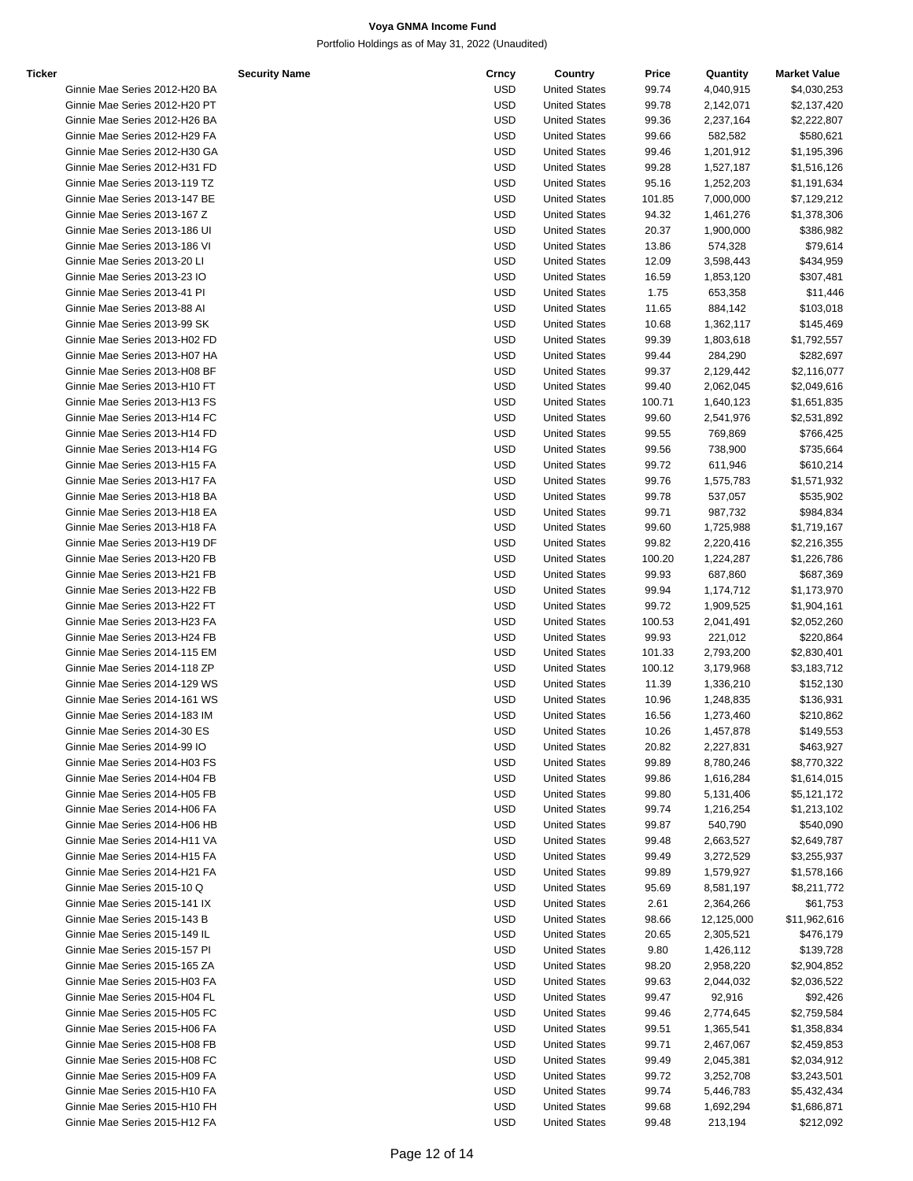| <b>Ticker</b> |                               | <b>Security Name</b> | Crncy      | Country              | Price  | Quantity   | <b>Market Value</b> |
|---------------|-------------------------------|----------------------|------------|----------------------|--------|------------|---------------------|
|               | Ginnie Mae Series 2012-H20 BA |                      | USD        | <b>United States</b> | 99.74  | 4,040,915  | \$4,030,253         |
|               | Ginnie Mae Series 2012-H20 PT |                      | <b>USD</b> | <b>United States</b> | 99.78  | 2,142,071  | \$2,137,420         |
|               | Ginnie Mae Series 2012-H26 BA |                      | <b>USD</b> | <b>United States</b> | 99.36  | 2,237,164  | \$2,222,807         |
|               | Ginnie Mae Series 2012-H29 FA |                      | <b>USD</b> | <b>United States</b> | 99.66  | 582,582    | \$580,621           |
|               | Ginnie Mae Series 2012-H30 GA |                      | <b>USD</b> | <b>United States</b> | 99.46  | 1,201,912  | \$1,195,396         |
|               | Ginnie Mae Series 2012-H31 FD |                      | <b>USD</b> | <b>United States</b> | 99.28  | 1,527,187  | \$1,516,126         |
|               | Ginnie Mae Series 2013-119 TZ |                      | <b>USD</b> | <b>United States</b> | 95.16  | 1,252,203  | \$1,191,634         |
|               | Ginnie Mae Series 2013-147 BE |                      |            |                      |        |            |                     |
|               |                               |                      | <b>USD</b> | <b>United States</b> | 101.85 | 7,000,000  | \$7,129,212         |
|               | Ginnie Mae Series 2013-167 Z  |                      | <b>USD</b> | <b>United States</b> | 94.32  | 1,461,276  | \$1,378,306         |
|               | Ginnie Mae Series 2013-186 UI |                      | <b>USD</b> | <b>United States</b> | 20.37  | 1,900,000  | \$386,982           |
|               | Ginnie Mae Series 2013-186 VI |                      | <b>USD</b> | <b>United States</b> | 13.86  | 574,328    | \$79,614            |
|               | Ginnie Mae Series 2013-20 LI  |                      | <b>USD</b> | <b>United States</b> | 12.09  | 3,598,443  | \$434,959           |
|               | Ginnie Mae Series 2013-23 IO  |                      | <b>USD</b> | <b>United States</b> | 16.59  | 1,853,120  | \$307,481           |
|               | Ginnie Mae Series 2013-41 PI  |                      | <b>USD</b> | <b>United States</b> | 1.75   | 653,358    | \$11,446            |
|               | Ginnie Mae Series 2013-88 Al  |                      | <b>USD</b> | <b>United States</b> | 11.65  | 884,142    | \$103,018           |
|               | Ginnie Mae Series 2013-99 SK  |                      | <b>USD</b> | <b>United States</b> | 10.68  | 1,362,117  | \$145,469           |
|               | Ginnie Mae Series 2013-H02 FD |                      | <b>USD</b> | <b>United States</b> | 99.39  | 1,803,618  | \$1,792,557         |
|               | Ginnie Mae Series 2013-H07 HA |                      | <b>USD</b> | <b>United States</b> | 99.44  | 284,290    | \$282,697           |
|               | Ginnie Mae Series 2013-H08 BF |                      | <b>USD</b> | <b>United States</b> | 99.37  | 2,129,442  | \$2,116,077         |
|               | Ginnie Mae Series 2013-H10 FT |                      | <b>USD</b> | <b>United States</b> | 99.40  | 2,062,045  | \$2,049,616         |
|               | Ginnie Mae Series 2013-H13 FS |                      | <b>USD</b> | <b>United States</b> | 100.71 | 1,640,123  | \$1,651,835         |
|               | Ginnie Mae Series 2013-H14 FC |                      | <b>USD</b> | <b>United States</b> | 99.60  | 2,541,976  | \$2,531,892         |
|               | Ginnie Mae Series 2013-H14 FD |                      | <b>USD</b> | <b>United States</b> | 99.55  | 769,869    | \$766,425           |
|               | Ginnie Mae Series 2013-H14 FG |                      | <b>USD</b> | <b>United States</b> | 99.56  | 738,900    | \$735,664           |
|               | Ginnie Mae Series 2013-H15 FA |                      | <b>USD</b> | <b>United States</b> | 99.72  |            |                     |
|               |                               |                      |            |                      |        | 611,946    | \$610,214           |
|               | Ginnie Mae Series 2013-H17 FA |                      | <b>USD</b> | <b>United States</b> | 99.76  | 1,575,783  | \$1,571,932         |
|               | Ginnie Mae Series 2013-H18 BA |                      | <b>USD</b> | <b>United States</b> | 99.78  | 537,057    | \$535,902           |
|               | Ginnie Mae Series 2013-H18 EA |                      | <b>USD</b> | <b>United States</b> | 99.71  | 987,732    | \$984,834           |
|               | Ginnie Mae Series 2013-H18 FA |                      | <b>USD</b> | <b>United States</b> | 99.60  | 1,725,988  | \$1,719,167         |
|               | Ginnie Mae Series 2013-H19 DF |                      | <b>USD</b> | <b>United States</b> | 99.82  | 2,220,416  | \$2,216,355         |
|               | Ginnie Mae Series 2013-H20 FB |                      | <b>USD</b> | <b>United States</b> | 100.20 | 1,224,287  | \$1,226,786         |
|               | Ginnie Mae Series 2013-H21 FB |                      | <b>USD</b> | <b>United States</b> | 99.93  | 687,860    | \$687,369           |
|               | Ginnie Mae Series 2013-H22 FB |                      | <b>USD</b> | <b>United States</b> | 99.94  | 1,174,712  | \$1,173,970         |
|               | Ginnie Mae Series 2013-H22 FT |                      | <b>USD</b> | <b>United States</b> | 99.72  | 1,909,525  | \$1,904,161         |
|               | Ginnie Mae Series 2013-H23 FA |                      | <b>USD</b> | <b>United States</b> | 100.53 | 2,041,491  | \$2,052,260         |
|               | Ginnie Mae Series 2013-H24 FB |                      | <b>USD</b> | <b>United States</b> | 99.93  | 221,012    | \$220,864           |
|               | Ginnie Mae Series 2014-115 EM |                      | <b>USD</b> | <b>United States</b> | 101.33 | 2,793,200  | \$2,830,401         |
|               | Ginnie Mae Series 2014-118 ZP |                      | <b>USD</b> | <b>United States</b> | 100.12 | 3,179,968  | \$3,183,712         |
|               | Ginnie Mae Series 2014-129 WS |                      | <b>USD</b> | <b>United States</b> | 11.39  | 1,336,210  | \$152,130           |
|               | Ginnie Mae Series 2014-161 WS |                      | <b>USD</b> | <b>United States</b> | 10.96  | 1,248,835  | \$136,931           |
|               | Ginnie Mae Series 2014-183 IM |                      | USD        | <b>United States</b> | 16.56  | 1,273,460  | \$210,862           |
|               | Ginnie Mae Series 2014-30 ES  |                      | <b>USD</b> | <b>United States</b> | 10.26  | 1,457,878  | \$149,553           |
|               | Ginnie Mae Series 2014-99 IO  |                      | USD        | <b>United States</b> | 20.82  | 2,227,831  | \$463,927           |
|               | Ginnie Mae Series 2014-H03 FS |                      | USD        | <b>United States</b> | 99.89  | 8,780,246  | \$8,770,322         |
|               | Ginnie Mae Series 2014-H04 FB |                      | USD        | <b>United States</b> | 99.86  | 1,616,284  |                     |
|               | Ginnie Mae Series 2014-H05 FB |                      | <b>USD</b> |                      |        |            | \$1,614,015         |
|               |                               |                      |            | <b>United States</b> | 99.80  | 5,131,406  | \$5,121,172         |
|               | Ginnie Mae Series 2014-H06 FA |                      | <b>USD</b> | <b>United States</b> | 99.74  | 1,216,254  | \$1,213,102         |
|               | Ginnie Mae Series 2014-H06 HB |                      | <b>USD</b> | <b>United States</b> | 99.87  | 540,790    | \$540,090           |
|               | Ginnie Mae Series 2014-H11 VA |                      | <b>USD</b> | <b>United States</b> | 99.48  | 2,663,527  | \$2,649,787         |
|               | Ginnie Mae Series 2014-H15 FA |                      | <b>USD</b> | <b>United States</b> | 99.49  | 3,272,529  | \$3,255,937         |
|               | Ginnie Mae Series 2014-H21 FA |                      | <b>USD</b> | <b>United States</b> | 99.89  | 1,579,927  | \$1,578,166         |
|               | Ginnie Mae Series 2015-10 Q   |                      | <b>USD</b> | <b>United States</b> | 95.69  | 8,581,197  | \$8,211,772         |
|               | Ginnie Mae Series 2015-141 IX |                      | <b>USD</b> | <b>United States</b> | 2.61   | 2,364,266  | \$61,753            |
|               | Ginnie Mae Series 2015-143 B  |                      | <b>USD</b> | <b>United States</b> | 98.66  | 12,125,000 | \$11,962,616        |
|               | Ginnie Mae Series 2015-149 IL |                      | <b>USD</b> | <b>United States</b> | 20.65  | 2,305,521  | \$476,179           |
|               | Ginnie Mae Series 2015-157 PI |                      | <b>USD</b> | <b>United States</b> | 9.80   | 1,426,112  | \$139,728           |
|               | Ginnie Mae Series 2015-165 ZA |                      | <b>USD</b> | <b>United States</b> | 98.20  | 2,958,220  | \$2,904,852         |
|               | Ginnie Mae Series 2015-H03 FA |                      | <b>USD</b> | <b>United States</b> | 99.63  | 2,044,032  | \$2,036,522         |
|               | Ginnie Mae Series 2015-H04 FL |                      | <b>USD</b> | <b>United States</b> | 99.47  | 92,916     | \$92,426            |
|               | Ginnie Mae Series 2015-H05 FC |                      | <b>USD</b> | <b>United States</b> | 99.46  | 2,774,645  | \$2,759,584         |
|               | Ginnie Mae Series 2015-H06 FA |                      | <b>USD</b> | <b>United States</b> | 99.51  | 1,365,541  | \$1,358,834         |
|               | Ginnie Mae Series 2015-H08 FB |                      | <b>USD</b> |                      |        |            |                     |
|               |                               |                      |            | <b>United States</b> | 99.71  | 2,467,067  | \$2,459,853         |
|               | Ginnie Mae Series 2015-H08 FC |                      | <b>USD</b> | <b>United States</b> | 99.49  | 2,045,381  | \$2,034,912         |
|               | Ginnie Mae Series 2015-H09 FA |                      | <b>USD</b> | <b>United States</b> | 99.72  | 3,252,708  | \$3,243,501         |
|               | Ginnie Mae Series 2015-H10 FA |                      | <b>USD</b> | <b>United States</b> | 99.74  | 5,446,783  | \$5,432,434         |
|               | Ginnie Mae Series 2015-H10 FH |                      | <b>USD</b> | <b>United States</b> | 99.68  | 1,692,294  | \$1,686,871         |
|               | Ginnie Mae Series 2015-H12 FA |                      | <b>USD</b> | <b>United States</b> | 99.48  | 213,194    | \$212,092           |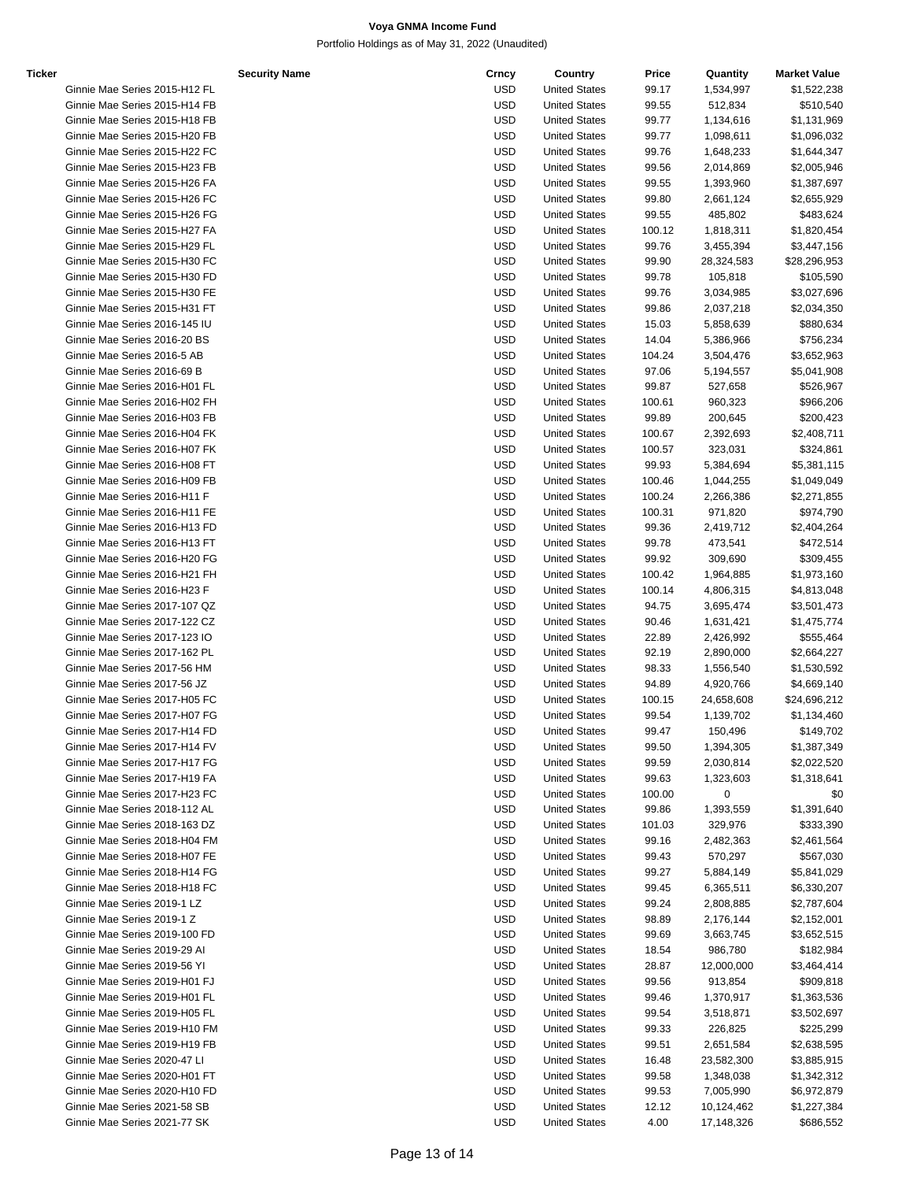Portfolio Holdings as of May 31, 2022 (Unaudited)

| Ticker |                               | <b>Security Name</b> | Crncy      | Country              | Price  | Quantity   | <b>Market Value</b>        |
|--------|-------------------------------|----------------------|------------|----------------------|--------|------------|----------------------------|
|        | Ginnie Mae Series 2015-H12 FL |                      | USD        | <b>United States</b> | 99.17  | 1,534,997  | \$1,522,238                |
|        | Ginnie Mae Series 2015-H14 FB |                      | <b>USD</b> | <b>United States</b> | 99.55  | 512,834    | \$510,540                  |
|        | Ginnie Mae Series 2015-H18 FB |                      | <b>USD</b> | <b>United States</b> | 99.77  | 1,134,616  | \$1,131,969                |
|        | Ginnie Mae Series 2015-H20 FB |                      | <b>USD</b> | <b>United States</b> | 99.77  | 1,098,611  | \$1,096,032                |
|        | Ginnie Mae Series 2015-H22 FC |                      | <b>USD</b> | <b>United States</b> | 99.76  | 1,648,233  | \$1,644,347                |
|        | Ginnie Mae Series 2015-H23 FB |                      | <b>USD</b> | <b>United States</b> | 99.56  | 2,014,869  | \$2,005,946                |
|        | Ginnie Mae Series 2015-H26 FA |                      | <b>USD</b> | <b>United States</b> | 99.55  | 1,393,960  | \$1,387,697                |
|        | Ginnie Mae Series 2015-H26 FC |                      | <b>USD</b> | <b>United States</b> | 99.80  | 2,661,124  | \$2,655,929                |
|        | Ginnie Mae Series 2015-H26 FG |                      | <b>USD</b> | <b>United States</b> | 99.55  | 485,802    | \$483,624                  |
|        | Ginnie Mae Series 2015-H27 FA |                      | <b>USD</b> | <b>United States</b> | 100.12 | 1,818,311  | \$1,820,454                |
|        | Ginnie Mae Series 2015-H29 FL |                      | <b>USD</b> | <b>United States</b> | 99.76  | 3,455,394  | \$3,447,156                |
|        | Ginnie Mae Series 2015-H30 FC |                      | <b>USD</b> | <b>United States</b> | 99.90  | 28,324,583 | \$28,296,953               |
|        | Ginnie Mae Series 2015-H30 FD |                      | <b>USD</b> | <b>United States</b> | 99.78  | 105,818    | \$105,590                  |
|        | Ginnie Mae Series 2015-H30 FE |                      | <b>USD</b> | <b>United States</b> | 99.76  | 3,034,985  | \$3,027,696                |
|        | Ginnie Mae Series 2015-H31 FT |                      | <b>USD</b> | <b>United States</b> | 99.86  | 2,037,218  | \$2,034,350                |
|        | Ginnie Mae Series 2016-145 IU |                      | <b>USD</b> | <b>United States</b> | 15.03  | 5,858,639  | \$880,634                  |
|        | Ginnie Mae Series 2016-20 BS  |                      | <b>USD</b> | <b>United States</b> | 14.04  | 5,386,966  | \$756,234                  |
|        | Ginnie Mae Series 2016-5 AB   |                      | <b>USD</b> | <b>United States</b> | 104.24 | 3,504,476  | \$3,652,963                |
|        | Ginnie Mae Series 2016-69 B   |                      | <b>USD</b> | <b>United States</b> | 97.06  | 5,194,557  | \$5,041,908                |
|        | Ginnie Mae Series 2016-H01 FL |                      | <b>USD</b> | <b>United States</b> | 99.87  | 527,658    | \$526,967                  |
|        | Ginnie Mae Series 2016-H02 FH |                      | <b>USD</b> | <b>United States</b> | 100.61 | 960,323    | \$966,206                  |
|        | Ginnie Mae Series 2016-H03 FB |                      | <b>USD</b> | <b>United States</b> | 99.89  | 200,645    | \$200,423                  |
|        |                               |                      | <b>USD</b> |                      |        |            |                            |
|        | Ginnie Mae Series 2016-H04 FK |                      |            | <b>United States</b> | 100.67 | 2,392,693  | \$2,408,711                |
|        | Ginnie Mae Series 2016-H07 FK |                      | <b>USD</b> | <b>United States</b> | 100.57 | 323,031    | \$324,861                  |
|        | Ginnie Mae Series 2016-H08 FT |                      | <b>USD</b> | <b>United States</b> | 99.93  | 5,384,694  | \$5,381,115                |
|        | Ginnie Mae Series 2016-H09 FB |                      | <b>USD</b> | <b>United States</b> | 100.46 | 1,044,255  | \$1,049,049                |
|        | Ginnie Mae Series 2016-H11 F  |                      | <b>USD</b> | <b>United States</b> | 100.24 | 2,266,386  | \$2,271,855                |
|        | Ginnie Mae Series 2016-H11 FE |                      | <b>USD</b> | <b>United States</b> | 100.31 | 971,820    | \$974,790                  |
|        | Ginnie Mae Series 2016-H13 FD |                      | <b>USD</b> | <b>United States</b> | 99.36  | 2,419,712  | \$2,404,264                |
|        | Ginnie Mae Series 2016-H13 FT |                      | <b>USD</b> | <b>United States</b> | 99.78  | 473,541    | \$472,514                  |
|        | Ginnie Mae Series 2016-H20 FG |                      | <b>USD</b> | <b>United States</b> | 99.92  | 309,690    | \$309,455                  |
|        | Ginnie Mae Series 2016-H21 FH |                      | <b>USD</b> | <b>United States</b> | 100.42 | 1,964,885  | \$1,973,160                |
|        | Ginnie Mae Series 2016-H23 F  |                      | <b>USD</b> | <b>United States</b> | 100.14 | 4,806,315  | \$4,813,048                |
|        | Ginnie Mae Series 2017-107 QZ |                      | <b>USD</b> | <b>United States</b> | 94.75  | 3,695,474  | \$3,501,473                |
|        | Ginnie Mae Series 2017-122 CZ |                      | <b>USD</b> | <b>United States</b> | 90.46  | 1,631,421  | \$1,475,774                |
|        | Ginnie Mae Series 2017-123 IO |                      | <b>USD</b> | <b>United States</b> | 22.89  | 2,426,992  | \$555,464                  |
|        | Ginnie Mae Series 2017-162 PL |                      | <b>USD</b> | <b>United States</b> | 92.19  | 2,890,000  | \$2,664,227                |
|        | Ginnie Mae Series 2017-56 HM  |                      | <b>USD</b> | <b>United States</b> | 98.33  | 1,556,540  | \$1,530,592                |
|        | Ginnie Mae Series 2017-56 JZ  |                      | <b>USD</b> | <b>United States</b> | 94.89  | 4,920,766  | \$4,669,140                |
|        | Ginnie Mae Series 2017-H05 FC |                      | <b>USD</b> | <b>United States</b> | 100.15 | 24,658,608 | \$24,696,212               |
|        | Ginnie Mae Series 2017-H07 FG |                      | <b>USD</b> | <b>United States</b> | 99.54  | 1,139,702  | \$1,134,460                |
|        | Ginnie Mae Series 2017-H14 FD |                      | <b>USD</b> | <b>United States</b> | 99.47  | 150,496    | \$149,702                  |
|        | Ginnie Mae Series 2017-H14 FV |                      | USD        | <b>United States</b> | 99.50  | 1,394,305  | \$1,387,349                |
|        | Ginnie Mae Series 2017-H17 FG |                      | <b>USD</b> | <b>United States</b> | 99.59  | 2,030,814  | \$2,022,520                |
|        | Ginnie Mae Series 2017-H19 FA |                      | USD        | <b>United States</b> | 99.63  | 1,323,603  | \$1,318,641                |
|        | Ginnie Mae Series 2017-H23 FC |                      | <b>USD</b> | <b>United States</b> | 100.00 | 0          | \$0                        |
|        | Ginnie Mae Series 2018-112 AL |                      | USD        | <b>United States</b> | 99.86  | 1,393,559  | \$1,391,640                |
|        | Ginnie Mae Series 2018-163 DZ |                      | USD        | <b>United States</b> | 101.03 | 329,976    | \$333,390                  |
|        | Ginnie Mae Series 2018-H04 FM |                      | USD        | <b>United States</b> | 99.16  | 2,482,363  | \$2,461,564                |
|        | Ginnie Mae Series 2018-H07 FE |                      | <b>USD</b> | <b>United States</b> | 99.43  | 570,297    | \$567,030                  |
|        | Ginnie Mae Series 2018-H14 FG |                      | USD        | <b>United States</b> | 99.27  | 5,884,149  | \$5,841,029                |
|        | Ginnie Mae Series 2018-H18 FC |                      | <b>USD</b> | <b>United States</b> | 99.45  | 6,365,511  | \$6,330,207                |
|        | Ginnie Mae Series 2019-1 LZ   |                      | USD        | <b>United States</b> | 99.24  | 2,808,885  | \$2,787,604                |
|        | Ginnie Mae Series 2019-1 Z    |                      | <b>USD</b> | <b>United States</b> | 98.89  | 2,176,144  | \$2,152,001                |
|        | Ginnie Mae Series 2019-100 FD |                      | USD        | <b>United States</b> | 99.69  | 3,663,745  | \$3,652,515                |
|        | Ginnie Mae Series 2019-29 Al  |                      | USD        | <b>United States</b> | 18.54  | 986,780    | \$182,984                  |
|        | Ginnie Mae Series 2019-56 YI  |                      | USD        | <b>United States</b> | 28.87  | 12,000,000 | \$3,464,414                |
|        | Ginnie Mae Series 2019-H01 FJ |                      | <b>USD</b> | <b>United States</b> | 99.56  | 913,854    | \$909,818                  |
|        | Ginnie Mae Series 2019-H01 FL |                      | USD        | <b>United States</b> | 99.46  | 1,370,917  |                            |
|        | Ginnie Mae Series 2019-H05 FL |                      | <b>USD</b> | <b>United States</b> | 99.54  | 3,518,871  | \$1,363,536<br>\$3,502,697 |
|        | Ginnie Mae Series 2019-H10 FM |                      | USD        | <b>United States</b> |        | 226,825    | \$225,299                  |
|        |                               |                      |            |                      | 99.33  |            |                            |
|        | Ginnie Mae Series 2019-H19 FB |                      | <b>USD</b> | <b>United States</b> | 99.51  | 2,651,584  | \$2,638,595                |
|        | Ginnie Mae Series 2020-47 LI  |                      | USD        | <b>United States</b> | 16.48  | 23,582,300 | \$3,885,915                |
|        | Ginnie Mae Series 2020-H01 FT |                      | <b>USD</b> | <b>United States</b> | 99.58  | 1,348,038  | \$1,342,312                |
|        | Ginnie Mae Series 2020-H10 FD |                      | USD        | <b>United States</b> | 99.53  | 7,005,990  | \$6,972,879                |
|        | Ginnie Mae Series 2021-58 SB  |                      | <b>USD</b> | <b>United States</b> | 12.12  | 10,124,462 | \$1,227,384                |

Ginnie Mae Series 2021-77 SK USD United States 4.00 17,148,326 \$686,552